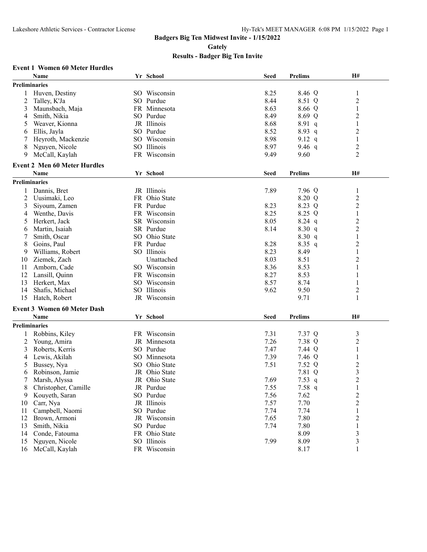**Gately**

# **Results - Badger Big Ten Invite**

## **Event 1 Women 60 Meter Hurdles**

|                      | Name                                | Yr School     | <b>Seed</b> | <b>Prelims</b> | H#             |
|----------------------|-------------------------------------|---------------|-------------|----------------|----------------|
| Preliminaries        |                                     |               |             |                |                |
|                      | 1 Huven, Destiny                    | SO Wisconsin  | 8.25        | 8.46 Q         | 1              |
| 2                    | Talley, K'Ja                        | SO Purdue     | 8.44        | 8.51 Q         | $\overline{c}$ |
| 3                    | Maunsbach, Maja                     | FR Minnesota  | 8.63        | 8.66 Q         | 1              |
| 4                    | Smith, Nikia                        | SO Purdue     | 8.49        | 8.69 Q         | 2              |
| 5                    | Weaver, Kionna                      | JR Illinois   | 8.68        | 8.91 q         | 1              |
| 6                    | Ellis, Jayla                        | SO Purdue     | 8.52        | 8.93 q         | $\overline{c}$ |
| 7                    | Heyroth, Mackenzie                  | SO Wisconsin  | 8.98        | 9.12 $q$       | 1              |
| 8                    | Nguyen, Nicole                      | SO Illinois   | 8.97        | 9.46 $q$       | $\overline{2}$ |
| 9                    | McCall, Kaylah                      | FR Wisconsin  | 9.49        | 9.60           | $\overline{2}$ |
|                      | <b>Event 2 Men 60 Meter Hurdles</b> |               |             |                |                |
|                      | Name                                | Yr School     | <b>Seed</b> | <b>Prelims</b> | H#             |
| Preliminaries        |                                     |               |             |                |                |
| 1                    | Dannis, Bret                        | JR Illinois   | 7.89        | 7.96 Q         | $\mathbf{1}$   |
| 2                    | Uusimaki, Leo                       | FR Ohio State |             | 8.20 Q         | $\overline{c}$ |
| 3                    | Siyoum, Zamen                       | FR Purdue     | 8.23        | 8.23 Q         | $\overline{2}$ |
| 4                    | Wenthe, Davis                       | FR Wisconsin  | 8.25        | 8.25 Q         | 1              |
| 5                    | Herkert, Jack                       | SR Wisconsin  | 8.05        | $8.24$ q       | $\overline{c}$ |
| 6                    | Martin, Isaiah                      | SR Purdue     | 8.14        | 8.30q          | $\overline{2}$ |
| 7                    | Smith, Oscar                        | SO Ohio State |             | 8.30 q         | $\mathbf{1}$   |
| 8                    | Goins, Paul                         | FR Purdue     | 8.28        | $8.35$ q       | $\overline{c}$ |
| 9                    | Williams, Robert                    | SO Illinois   | 8.23        | 8.49           | $\mathbf{1}$   |
| 10                   | Ziemek, Zach                        | Unattached    | 8.03        | 8.51           | $\overline{c}$ |
| 11                   | Amborn, Cade                        | SO Wisconsin  | 8.36        | 8.53           | 1              |
|                      |                                     | FR Wisconsin  | 8.27        |                | 1              |
| 12<br>13             | Lansill, Quinn<br>Herkert, Max      | SO Wisconsin  | 8.57        | 8.53<br>8.74   |                |
|                      |                                     | SO Illinois   | 9.62        |                | 1              |
| 14                   | Shafis, Michael                     |               |             | 9.50           | $\overline{2}$ |
| 15                   | Hatch, Robert                       | JR Wisconsin  |             | 9.71           | $\mathbf{1}$   |
|                      | <b>Event 3 Women 60 Meter Dash</b>  |               |             |                |                |
|                      | Name                                | Yr School     | <b>Seed</b> | <b>Prelims</b> | H#             |
| <b>Preliminaries</b> |                                     |               |             |                |                |
|                      | Robbins, Kiley                      | FR Wisconsin  | 7.31        | 7.37 Q         | $\mathfrak{Z}$ |
| 2                    | Young, Amira                        | JR Minnesota  | 7.26        | 7.38 Q         | $\overline{c}$ |
| 3                    | Roberts, Kerris                     | SO Purdue     | 7.47        | 7.44 Q         | $\mathbf{1}$   |
| 4                    | Lewis, Akilah                       | SO Minnesota  | 7.39        | 7.46 Q         | $\mathbf{1}$   |
| 5                    | Bussey, Nya                         | SO Ohio State | 7.51        | 7.52 Q         | $\overline{c}$ |
| 6                    | Robinson, Jamie                     | JR Ohio State |             | 7.81 Q         | 3              |
|                      | Marsh, Alyssa                       | JR Ohio State | 7.69        | 7.53 $q$       | $\overline{c}$ |
| 8                    | Christopher, Camille                | JR Purdue     | 7.55        | 7.58 q         | 1              |
| 9                    | Kouyeth, Saran                      | SO Purdue     | 7.56        | 7.62           | $\overline{c}$ |
| 10                   | Carr, Nya                           | JR Illinois   | 7.57        | 7.70           | $\overline{c}$ |
| 11                   | Campbell, Naomi                     | SO Purdue     | 7.74        | 7.74           | 1              |
| 12                   | Brown, Armoni                       | JR Wisconsin  | 7.65        | 7.80           | 2              |
| 13                   | Smith, Nikia                        | SO Purdue     | 7.74        | 7.80           | 1              |
| 14                   | Conde, Fatouma                      | FR Ohio State |             | 8.09           | 3              |
| 15                   | Nguyen, Nicole                      | SO Illinois   | 7.99        | 8.09           | 3              |
| 16                   | McCall, Kaylah                      | FR Wisconsin  |             | 8.17           | $\mathbf{1}$   |
|                      |                                     |               |             |                |                |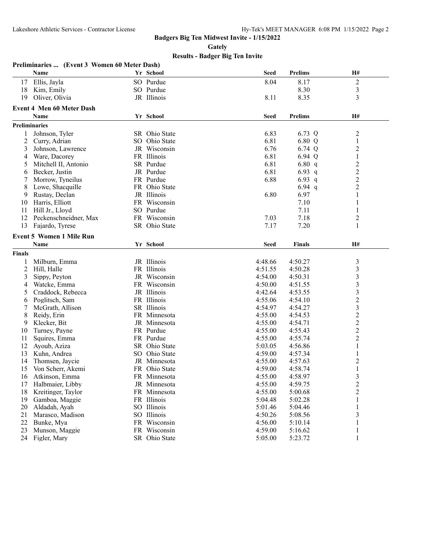**Gately**

|        | Preliminaries  (Event 3 Women 60 Meter Dash) |               |             |                |                         |
|--------|----------------------------------------------|---------------|-------------|----------------|-------------------------|
|        | Name                                         | Yr School     | <b>Seed</b> | <b>Prelims</b> | H#                      |
| 17     | Ellis, Jayla                                 | SO Purdue     | 8.04        | 8.17           | $\sqrt{2}$              |
| 18     | Kim, Emily                                   | SO Purdue     |             | 8.30           | $\mathfrak{Z}$          |
| 19     | Oliver, Olivia                               | JR Illinois   | 8.11        | 8.35           | 3                       |
|        | <b>Event 4 Men 60 Meter Dash</b>             |               |             |                |                         |
|        | Name                                         | Yr School     | <b>Seed</b> | <b>Prelims</b> | H#                      |
|        | <b>Preliminaries</b>                         |               |             |                |                         |
|        | Johnson, Tyler                               | SR Ohio State | 6.83        | 6.73 Q         | $\overline{c}$          |
| 2      | Curry, Adrian                                | SO Ohio State | 6.81        | 6.80 Q         | 1                       |
| 3      | Johnson, Lawrence                            | JR Wisconsin  | 6.76        | 6.74 Q         | $\overline{c}$          |
| 4      | Ware, Dacorey                                | FR Illinois   | 6.81        | 6.94 Q         | $\,1\,$                 |
| 5      | Mitchell II, Antonio                         | SR Purdue     | 6.81        | 6.80 $q$       | $\overline{c}$          |
| 6      | Becker, Justin                               | JR Purdue     | 6.81        | 6.93 $q$       | $\overline{c}$          |
|        | Morrow, Tyneilus                             | FR Purdue     | 6.88        | 6.93 $q$       | $\overline{c}$          |
| 8      | Lowe, Shacquille                             | FR Ohio State |             | $6.94$ q       | $\overline{c}$          |
| 9      | Rustay, Declan                               | JR Illinois   | 6.80        | 6.97           | $\mathbf{1}$            |
| 10     | Harris, Elliott                              | FR Wisconsin  |             | 7.10           | $\mathbf{1}$            |
| 11     | Hill Jr., Lloyd                              | SO Purdue     |             | 7.11           | 1                       |
| 12     | Peckenschneidner, Max                        | FR Wisconsin  | 7.03        | 7.18           | $\overline{c}$          |
| 13     | Fajardo, Tyrese                              | SR Ohio State | 7.17        | 7.20           | 1                       |
|        |                                              |               |             |                |                         |
|        | <b>Event 5 Women 1 Mile Run</b>              |               |             |                |                         |
|        | Name                                         | Yr School     | <b>Seed</b> | <b>Finals</b>  | H#                      |
| Finals |                                              |               |             |                |                         |
|        | Milburn, Emma                                | JR Illinois   | 4:48.66     | 4:50.27        | $\mathfrak{Z}$          |
| 2      | Hill, Halle                                  | FR Illinois   | 4:51.55     | 4:50.28        | 3                       |
| 3      | Sippy, Peyton                                | JR Wisconsin  | 4:54.00     | 4:50.31        | 3                       |
| 4      | Watcke, Emma                                 | FR Wisconsin  | 4:50.00     | 4:51.55        | 3                       |
| 5      | Craddock, Rebecca                            | JR Illinois   | 4:42.64     | 4:53.55        | $\overline{\mathbf{3}}$ |
| 6      | Poglitsch, Sam                               | FR Illinois   | 4:55.06     | 4:54.10        | $\overline{c}$          |
| 7      | McGrath, Allison                             | SR Illinois   | 4:54.97     | 4:54.27        | $\overline{\mathbf{3}}$ |
| 8      | Reidy, Erin                                  | FR Minnesota  | 4:55.00     | 4:54.53        | $\overline{c}$          |
| 9      | Klecker, Bit                                 | JR Minnesota  | 4:55.00     | 4:54.71        | $\overline{c}$          |
| 10     | Turney, Payne                                | FR Purdue     | 4:55.00     | 4:55.43        | $\overline{c}$          |
| 11     | Squires, Emma                                | FR Purdue     | 4:55.00     | 4:55.74        | $\overline{2}$          |
| 12     | Ayoub, Aziza                                 | SR Ohio State | 5:03.05     | 4:56.86        | $\mathbf{1}$            |
| 13     | Kuhn, Andrea                                 | SO Ohio State | 4:59.00     | 4:57.34        | $\mathbf{1}$            |
| 14     | Thomsen, Jaycie                              | JR Minnesota  | 4:55.00     | 4:57.63        | $\overline{c}$          |
| 15     | Von Scherr, Akemi                            | FR Ohio State | 4:59.00     | 4:58.74        | $\mathbf{1}$            |
| 16     | Atkinson, Emma                               | FR Minnesota  | 4:55.00     | 4:58.97        | $\mathfrak{Z}$          |
| 17     | Halbmaier, Libby                             | JR Minnesota  | 4:55.00     | 4:59.75        | $\overline{c}$          |
| 18     | Kreitinger, Taylor                           | FR Minnesota  | 4:55.00     | 5:00.68        | $\overline{c}$          |
| 19     | Gamboa, Maggie                               | FR Illinois   | 5:04.48     | 5:02.28        | $\mathbf{1}$            |
| 20     | Aldadah, Ayah                                | SO Illinois   | 5:01.46     | 5:04.46        | 1                       |
| 21     | Marasco, Madison                             | SO Illinois   | 4:50.26     | 5:08.56        | 3                       |
| 22     | Bunke, Mya                                   | FR Wisconsin  | 4:56.00     | 5:10.14        | 1                       |
| 23     | Munson, Maggie                               | FR Wisconsin  | 4:59.00     | 5:16.62        | $\mathbf{1}$            |
| 24     | Figler, Mary                                 | SR Ohio State | 5:05.00     | 5:23.72        | 1                       |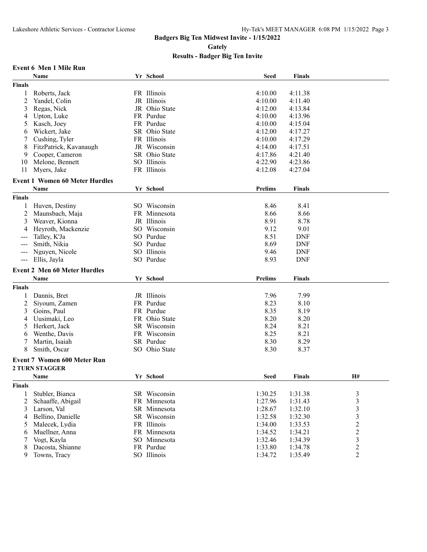**Gately**

| <b>Event 6 Men 1 Mile Run</b> |  |  |  |
|-------------------------------|--|--|--|
|-------------------------------|--|--|--|

|                                                                                                | Name                                  | Yr School     | <b>Seed</b>    | <b>Finals</b> |                         |
|------------------------------------------------------------------------------------------------|---------------------------------------|---------------|----------------|---------------|-------------------------|
| <b>Finals</b>                                                                                  |                                       |               |                |               |                         |
| 1                                                                                              | Roberts, Jack                         | FR Illinois   | 4:10.00        | 4:11.38       |                         |
| $\overline{c}$                                                                                 | Yandel, Colin                         | JR Illinois   | 4:10.00        | 4:11.40       |                         |
| 3                                                                                              | Regas, Nick                           | JR Ohio State | 4:12.00        | 4:13.84       |                         |
| 4                                                                                              | Upton, Luke                           | FR Purdue     | 4:10.00        | 4:13.96       |                         |
| 5                                                                                              | Kasch, Joey                           | FR Purdue     | 4:10.00        | 4:15.04       |                         |
| 6                                                                                              | Wickert, Jake                         | SR Ohio State | 4:12.00        | 4:17.27       |                         |
| 7                                                                                              | Cushing, Tyler                        | FR Illinois   | 4:10.00        | 4:17.29       |                         |
| 8                                                                                              | FitzPatrick, Kavanaugh                | JR Wisconsin  | 4:14.00        | 4:17.51       |                         |
| 9                                                                                              | Cooper, Cameron                       | SR Ohio State | 4:17.86        | 4:21.40       |                         |
| 10                                                                                             | Melone, Bennett                       | SO Illinois   | 4:22.90        | 4:23.86       |                         |
| 11                                                                                             | Myers, Jake                           | FR Illinois   | 4:12.08        | 4:27.04       |                         |
|                                                                                                |                                       |               |                |               |                         |
|                                                                                                | <b>Event 1 Women 60 Meter Hurdles</b> |               |                |               |                         |
|                                                                                                | Name                                  | Yr School     | Prelims        | Finals        |                         |
| <b>Finals</b>                                                                                  |                                       |               |                |               |                         |
| 1                                                                                              | Huven, Destiny                        | SO Wisconsin  | 8.46           | 8.41          |                         |
| 2                                                                                              | Maunsbach, Maja                       | FR Minnesota  | 8.66           | 8.66          |                         |
| 3                                                                                              | Weaver, Kionna                        | JR Illinois   | 8.91           | 8.78          |                         |
|                                                                                                | Heyroth, Mackenzie                    | SO Wisconsin  | 9.12           | 9.01          |                         |
|                                                                                                | Talley, K'Ja                          | SO Purdue     | 8.51           | <b>DNF</b>    |                         |
| ---                                                                                            | Smith, Nikia                          | SO Purdue     | 8.69           | <b>DNF</b>    |                         |
| ---                                                                                            | Nguyen, Nicole                        | SO Illinois   | 9.46           | <b>DNF</b>    |                         |
| $\frac{1}{2} \left( \frac{1}{2} \right) \left( \frac{1}{2} \right) \left( \frac{1}{2} \right)$ | Ellis, Jayla                          | SO Purdue     | 8.93           | <b>DNF</b>    |                         |
|                                                                                                | <b>Event 2 Men 60 Meter Hurdles</b>   |               |                |               |                         |
|                                                                                                | Name                                  | Yr School     | <b>Prelims</b> | Finals        |                         |
|                                                                                                |                                       |               |                |               |                         |
| <b>Finals</b>                                                                                  |                                       |               |                |               |                         |
| 1                                                                                              | Dannis, Bret                          | JR Illinois   | 7.96           | 7.99          |                         |
| 2                                                                                              | Siyoum, Zamen                         | FR Purdue     | 8.23           | 8.10          |                         |
| 3                                                                                              | Goins, Paul                           | FR Purdue     | 8.35           | 8.19          |                         |
| 4                                                                                              | Uusimaki, Leo                         | FR Ohio State | 8.20           | 8.20          |                         |
| 5                                                                                              | Herkert, Jack                         | SR Wisconsin  | 8.24           | 8.21          |                         |
| 6                                                                                              | Wenthe, Davis                         | FR Wisconsin  | 8.25           | 8.21          |                         |
| 7                                                                                              | Martin, Isaiah                        | SR Purdue     | 8.30           | 8.29          |                         |
| 8                                                                                              | Smith, Oscar                          | SO Ohio State | 8.30           | 8.37          |                         |
|                                                                                                | <b>Event 7 Women 600 Meter Run</b>    |               |                |               |                         |
|                                                                                                | <b>2 TURN STAGGER</b>                 |               |                |               |                         |
|                                                                                                | Name                                  | Yr School     | Seed           | Finals        | H#                      |
| <b>Finals</b>                                                                                  |                                       |               |                |               |                         |
| 1                                                                                              | Stubler, Bianca                       | SR Wisconsin  | 1:30.25        | 1:31.38       | 3                       |
| 2                                                                                              | Schaaffe, Abigail                     | FR Minnesota  | 1:27.96        | 1:31.43       | $\mathfrak{Z}$          |
| 3                                                                                              | Larson, Val                           | SR Minnesota  | 1:28.67        | 1:32.10       | $\overline{\mathbf{3}}$ |
| 4                                                                                              | Bellino, Danielle                     | SR Wisconsin  | 1:32.58        | 1:32.30       | $\overline{\mathbf{3}}$ |
| 5                                                                                              | Malecek, Lydia                        | FR Illinois   | 1:34.00        | 1:33.53       | $\overline{c}$          |
| 6                                                                                              | Muellner, Anna                        | FR Minnesota  | 1:34.52        | 1:34.21       | $\overline{c}$          |
| 7                                                                                              | Vogt, Kayla                           | SO Minnesota  | 1:32.46        | 1:34.39       | 3                       |
|                                                                                                | Dacosta, Shianne                      | FR Purdue     | 1:33.80        | 1:34.78       | $\overline{c}$          |
| 8                                                                                              | Towns, Tracy                          | SO Illinois   |                |               | $\overline{c}$          |
| 9                                                                                              |                                       |               | 1:34.72        | 1:35.49       |                         |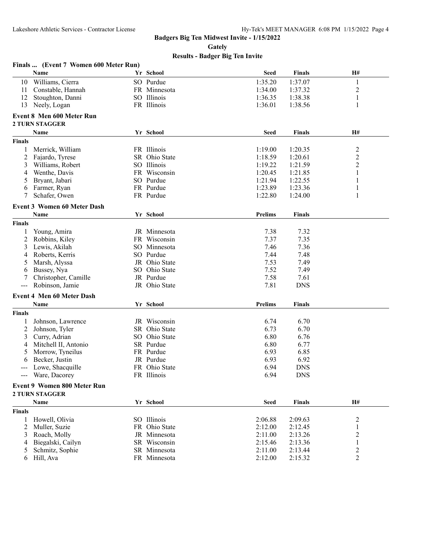**Gately**

| H#<br>Name<br>Yr School<br><b>Seed</b><br><b>Finals</b><br>1:35.20<br>Williams, Cierra<br>SO Purdue<br>10<br>1:37.07<br>1<br>$\overline{c}$<br>Constable, Hannah<br>FR Minnesota<br>1:34.00<br>1:37.32<br>11<br>SO Illinois<br>$\mathbf{1}$<br>12<br>Stoughton, Danni<br>1:36.35<br>1:38.38<br>FR Illinois<br>1:36.01<br>13<br>Neely, Logan<br>1:38.56<br>1<br><b>Event 8 Men 600 Meter Run</b><br><b>2 TURN STAGGER</b><br><b>H#</b><br>Yr School<br><b>Seed</b><br>Name<br><b>Finals</b><br><b>Finals</b><br>$\overline{\mathbf{c}}$<br>FR Illinois<br>1:19.00<br>1:20.35<br>Merrick, William<br>$\overline{c}$<br>SR Ohio State<br>1:18.59<br>2<br>Fajardo, Tyrese<br>1:20.61<br>$\overline{c}$<br>SO Illinois<br>1:19.22<br>Williams, Robert<br>1:21.59<br>3<br>1:20.45<br>Wenthe, Davis<br>FR Wisconsin<br>1:21.85<br>1<br>4<br>1:21.94<br>SO Purdue<br>1:22.55<br>1<br>Bryant, Jabari<br>5<br>1:23.89<br>Farmer, Ryan<br>FR Purdue<br>1:23.36<br>1<br>6<br>1:22.80<br>1<br>Schafer, Owen<br>FR Purdue<br>1:24.00<br>7<br><b>Event 3 Women 60 Meter Dash</b><br>Yr School<br><b>Prelims</b><br>Name<br><b>Finals</b><br><b>Finals</b><br>JR Minnesota<br>7.38<br>7.32<br>Young, Amira<br>7.37<br>2<br>Wisconsin<br>7.35<br>Robbins, Kiley<br>FR.<br>Lewis, Akilah<br>SO Minnesota<br>7.46<br>7.36<br>3<br>SO Purdue<br>7.44<br>7.48<br>Roberts, Kerris<br>4<br>JR Ohio State<br>7.53<br>7.49<br>Marsh, Alyssa<br>5<br>SO Ohio State<br>7.52<br>7.49<br>Bussey, Nya<br>6<br>Christopher, Camille<br>JR Purdue<br>7.58<br>7.61<br>7.81<br>Robinson, Jamie<br>JR Ohio State<br><b>DNS</b><br>$\qquad \qquad - -$<br><b>Event 4 Men 60 Meter Dash</b><br>Yr School<br>Prelims<br>Name<br><b>Finals</b><br><b>Finals</b><br>JR Wisconsin<br>6.74<br>6.70<br>Johnson, Lawrence<br>2<br>Johnson, Tyler<br>SR Ohio State<br>6.73<br>6.70<br>Curry, Adrian<br>SO Ohio State<br>6.80<br>6.76<br>3<br>SR Purdue<br>6.80<br>6.77<br>Mitchell II, Antonio<br>4<br>Morrow, Tyneilus<br>FR Purdue<br>6.93<br>6.85<br>5<br>Becker, Justin<br>JR Purdue<br>6.93<br>6.92<br>6<br>FR Ohio State<br>6.94<br><b>DNS</b><br>Lowe, Shacquille<br>FR Illinois<br>6.94<br><b>DNS</b><br>Ware, Dacorey<br><b>Event 9 Women 800 Meter Run</b><br><b>2 TURN STAGGER</b><br>Yr School<br>H#<br>Name<br><b>Seed</b><br><b>Finals</b><br><b>Finals</b><br>SO Illinois<br>2:06.88<br>$\overline{c}$<br>Howell, Olivia<br>2:09.63<br>1<br>2<br>2:12.00<br>$\mathbf{1}$<br>Muller, Suzie<br>FR Ohio State<br>2:12.45<br>$\overline{\mathbf{c}}$<br>Roach, Molly<br>2:11.00<br>2:13.26<br>JR Minnesota<br>3<br>$\mathbf{1}$<br>2:15.46<br>Biegalski, Cailyn<br>SR Wisconsin<br>2:13.36<br>4<br>$\overline{c}$<br>2:11.00<br>Schmitz, Sophie<br>SR Minnesota<br>2:13.44<br>5<br>FR Minnesota |   | Finals  (Event 7 Women 600 Meter Run) |  |         |         |                |
|---------------------------------------------------------------------------------------------------------------------------------------------------------------------------------------------------------------------------------------------------------------------------------------------------------------------------------------------------------------------------------------------------------------------------------------------------------------------------------------------------------------------------------------------------------------------------------------------------------------------------------------------------------------------------------------------------------------------------------------------------------------------------------------------------------------------------------------------------------------------------------------------------------------------------------------------------------------------------------------------------------------------------------------------------------------------------------------------------------------------------------------------------------------------------------------------------------------------------------------------------------------------------------------------------------------------------------------------------------------------------------------------------------------------------------------------------------------------------------------------------------------------------------------------------------------------------------------------------------------------------------------------------------------------------------------------------------------------------------------------------------------------------------------------------------------------------------------------------------------------------------------------------------------------------------------------------------------------------------------------------------------------------------------------------------------------------------------------------------------------------------------------------------------------------------------------------------------------------------------------------------------------------------------------------------------------------------------------------------------------------------------------------------------------------------------------------------------------------------------------------------------------------------------------------------------------------------------------------------------------------------------------------------------------------------------------------------------------------------------------------------------|---|---------------------------------------|--|---------|---------|----------------|
|                                                                                                                                                                                                                                                                                                                                                                                                                                                                                                                                                                                                                                                                                                                                                                                                                                                                                                                                                                                                                                                                                                                                                                                                                                                                                                                                                                                                                                                                                                                                                                                                                                                                                                                                                                                                                                                                                                                                                                                                                                                                                                                                                                                                                                                                                                                                                                                                                                                                                                                                                                                                                                                                                                                                                               |   |                                       |  |         |         |                |
|                                                                                                                                                                                                                                                                                                                                                                                                                                                                                                                                                                                                                                                                                                                                                                                                                                                                                                                                                                                                                                                                                                                                                                                                                                                                                                                                                                                                                                                                                                                                                                                                                                                                                                                                                                                                                                                                                                                                                                                                                                                                                                                                                                                                                                                                                                                                                                                                                                                                                                                                                                                                                                                                                                                                                               |   |                                       |  |         |         |                |
|                                                                                                                                                                                                                                                                                                                                                                                                                                                                                                                                                                                                                                                                                                                                                                                                                                                                                                                                                                                                                                                                                                                                                                                                                                                                                                                                                                                                                                                                                                                                                                                                                                                                                                                                                                                                                                                                                                                                                                                                                                                                                                                                                                                                                                                                                                                                                                                                                                                                                                                                                                                                                                                                                                                                                               |   |                                       |  |         |         |                |
|                                                                                                                                                                                                                                                                                                                                                                                                                                                                                                                                                                                                                                                                                                                                                                                                                                                                                                                                                                                                                                                                                                                                                                                                                                                                                                                                                                                                                                                                                                                                                                                                                                                                                                                                                                                                                                                                                                                                                                                                                                                                                                                                                                                                                                                                                                                                                                                                                                                                                                                                                                                                                                                                                                                                                               |   |                                       |  |         |         |                |
|                                                                                                                                                                                                                                                                                                                                                                                                                                                                                                                                                                                                                                                                                                                                                                                                                                                                                                                                                                                                                                                                                                                                                                                                                                                                                                                                                                                                                                                                                                                                                                                                                                                                                                                                                                                                                                                                                                                                                                                                                                                                                                                                                                                                                                                                                                                                                                                                                                                                                                                                                                                                                                                                                                                                                               |   |                                       |  |         |         |                |
|                                                                                                                                                                                                                                                                                                                                                                                                                                                                                                                                                                                                                                                                                                                                                                                                                                                                                                                                                                                                                                                                                                                                                                                                                                                                                                                                                                                                                                                                                                                                                                                                                                                                                                                                                                                                                                                                                                                                                                                                                                                                                                                                                                                                                                                                                                                                                                                                                                                                                                                                                                                                                                                                                                                                                               |   |                                       |  |         |         |                |
|                                                                                                                                                                                                                                                                                                                                                                                                                                                                                                                                                                                                                                                                                                                                                                                                                                                                                                                                                                                                                                                                                                                                                                                                                                                                                                                                                                                                                                                                                                                                                                                                                                                                                                                                                                                                                                                                                                                                                                                                                                                                                                                                                                                                                                                                                                                                                                                                                                                                                                                                                                                                                                                                                                                                                               |   |                                       |  |         |         |                |
|                                                                                                                                                                                                                                                                                                                                                                                                                                                                                                                                                                                                                                                                                                                                                                                                                                                                                                                                                                                                                                                                                                                                                                                                                                                                                                                                                                                                                                                                                                                                                                                                                                                                                                                                                                                                                                                                                                                                                                                                                                                                                                                                                                                                                                                                                                                                                                                                                                                                                                                                                                                                                                                                                                                                                               |   |                                       |  |         |         |                |
|                                                                                                                                                                                                                                                                                                                                                                                                                                                                                                                                                                                                                                                                                                                                                                                                                                                                                                                                                                                                                                                                                                                                                                                                                                                                                                                                                                                                                                                                                                                                                                                                                                                                                                                                                                                                                                                                                                                                                                                                                                                                                                                                                                                                                                                                                                                                                                                                                                                                                                                                                                                                                                                                                                                                                               |   |                                       |  |         |         |                |
|                                                                                                                                                                                                                                                                                                                                                                                                                                                                                                                                                                                                                                                                                                                                                                                                                                                                                                                                                                                                                                                                                                                                                                                                                                                                                                                                                                                                                                                                                                                                                                                                                                                                                                                                                                                                                                                                                                                                                                                                                                                                                                                                                                                                                                                                                                                                                                                                                                                                                                                                                                                                                                                                                                                                                               |   |                                       |  |         |         |                |
|                                                                                                                                                                                                                                                                                                                                                                                                                                                                                                                                                                                                                                                                                                                                                                                                                                                                                                                                                                                                                                                                                                                                                                                                                                                                                                                                                                                                                                                                                                                                                                                                                                                                                                                                                                                                                                                                                                                                                                                                                                                                                                                                                                                                                                                                                                                                                                                                                                                                                                                                                                                                                                                                                                                                                               |   |                                       |  |         |         |                |
|                                                                                                                                                                                                                                                                                                                                                                                                                                                                                                                                                                                                                                                                                                                                                                                                                                                                                                                                                                                                                                                                                                                                                                                                                                                                                                                                                                                                                                                                                                                                                                                                                                                                                                                                                                                                                                                                                                                                                                                                                                                                                                                                                                                                                                                                                                                                                                                                                                                                                                                                                                                                                                                                                                                                                               |   |                                       |  |         |         |                |
|                                                                                                                                                                                                                                                                                                                                                                                                                                                                                                                                                                                                                                                                                                                                                                                                                                                                                                                                                                                                                                                                                                                                                                                                                                                                                                                                                                                                                                                                                                                                                                                                                                                                                                                                                                                                                                                                                                                                                                                                                                                                                                                                                                                                                                                                                                                                                                                                                                                                                                                                                                                                                                                                                                                                                               |   |                                       |  |         |         |                |
|                                                                                                                                                                                                                                                                                                                                                                                                                                                                                                                                                                                                                                                                                                                                                                                                                                                                                                                                                                                                                                                                                                                                                                                                                                                                                                                                                                                                                                                                                                                                                                                                                                                                                                                                                                                                                                                                                                                                                                                                                                                                                                                                                                                                                                                                                                                                                                                                                                                                                                                                                                                                                                                                                                                                                               |   |                                       |  |         |         |                |
|                                                                                                                                                                                                                                                                                                                                                                                                                                                                                                                                                                                                                                                                                                                                                                                                                                                                                                                                                                                                                                                                                                                                                                                                                                                                                                                                                                                                                                                                                                                                                                                                                                                                                                                                                                                                                                                                                                                                                                                                                                                                                                                                                                                                                                                                                                                                                                                                                                                                                                                                                                                                                                                                                                                                                               |   |                                       |  |         |         |                |
|                                                                                                                                                                                                                                                                                                                                                                                                                                                                                                                                                                                                                                                                                                                                                                                                                                                                                                                                                                                                                                                                                                                                                                                                                                                                                                                                                                                                                                                                                                                                                                                                                                                                                                                                                                                                                                                                                                                                                                                                                                                                                                                                                                                                                                                                                                                                                                                                                                                                                                                                                                                                                                                                                                                                                               |   |                                       |  |         |         |                |
|                                                                                                                                                                                                                                                                                                                                                                                                                                                                                                                                                                                                                                                                                                                                                                                                                                                                                                                                                                                                                                                                                                                                                                                                                                                                                                                                                                                                                                                                                                                                                                                                                                                                                                                                                                                                                                                                                                                                                                                                                                                                                                                                                                                                                                                                                                                                                                                                                                                                                                                                                                                                                                                                                                                                                               |   |                                       |  |         |         |                |
|                                                                                                                                                                                                                                                                                                                                                                                                                                                                                                                                                                                                                                                                                                                                                                                                                                                                                                                                                                                                                                                                                                                                                                                                                                                                                                                                                                                                                                                                                                                                                                                                                                                                                                                                                                                                                                                                                                                                                                                                                                                                                                                                                                                                                                                                                                                                                                                                                                                                                                                                                                                                                                                                                                                                                               |   |                                       |  |         |         |                |
|                                                                                                                                                                                                                                                                                                                                                                                                                                                                                                                                                                                                                                                                                                                                                                                                                                                                                                                                                                                                                                                                                                                                                                                                                                                                                                                                                                                                                                                                                                                                                                                                                                                                                                                                                                                                                                                                                                                                                                                                                                                                                                                                                                                                                                                                                                                                                                                                                                                                                                                                                                                                                                                                                                                                                               |   |                                       |  |         |         |                |
|                                                                                                                                                                                                                                                                                                                                                                                                                                                                                                                                                                                                                                                                                                                                                                                                                                                                                                                                                                                                                                                                                                                                                                                                                                                                                                                                                                                                                                                                                                                                                                                                                                                                                                                                                                                                                                                                                                                                                                                                                                                                                                                                                                                                                                                                                                                                                                                                                                                                                                                                                                                                                                                                                                                                                               |   |                                       |  |         |         |                |
|                                                                                                                                                                                                                                                                                                                                                                                                                                                                                                                                                                                                                                                                                                                                                                                                                                                                                                                                                                                                                                                                                                                                                                                                                                                                                                                                                                                                                                                                                                                                                                                                                                                                                                                                                                                                                                                                                                                                                                                                                                                                                                                                                                                                                                                                                                                                                                                                                                                                                                                                                                                                                                                                                                                                                               |   |                                       |  |         |         |                |
|                                                                                                                                                                                                                                                                                                                                                                                                                                                                                                                                                                                                                                                                                                                                                                                                                                                                                                                                                                                                                                                                                                                                                                                                                                                                                                                                                                                                                                                                                                                                                                                                                                                                                                                                                                                                                                                                                                                                                                                                                                                                                                                                                                                                                                                                                                                                                                                                                                                                                                                                                                                                                                                                                                                                                               |   |                                       |  |         |         |                |
|                                                                                                                                                                                                                                                                                                                                                                                                                                                                                                                                                                                                                                                                                                                                                                                                                                                                                                                                                                                                                                                                                                                                                                                                                                                                                                                                                                                                                                                                                                                                                                                                                                                                                                                                                                                                                                                                                                                                                                                                                                                                                                                                                                                                                                                                                                                                                                                                                                                                                                                                                                                                                                                                                                                                                               |   |                                       |  |         |         |                |
|                                                                                                                                                                                                                                                                                                                                                                                                                                                                                                                                                                                                                                                                                                                                                                                                                                                                                                                                                                                                                                                                                                                                                                                                                                                                                                                                                                                                                                                                                                                                                                                                                                                                                                                                                                                                                                                                                                                                                                                                                                                                                                                                                                                                                                                                                                                                                                                                                                                                                                                                                                                                                                                                                                                                                               |   |                                       |  |         |         |                |
|                                                                                                                                                                                                                                                                                                                                                                                                                                                                                                                                                                                                                                                                                                                                                                                                                                                                                                                                                                                                                                                                                                                                                                                                                                                                                                                                                                                                                                                                                                                                                                                                                                                                                                                                                                                                                                                                                                                                                                                                                                                                                                                                                                                                                                                                                                                                                                                                                                                                                                                                                                                                                                                                                                                                                               |   |                                       |  |         |         |                |
|                                                                                                                                                                                                                                                                                                                                                                                                                                                                                                                                                                                                                                                                                                                                                                                                                                                                                                                                                                                                                                                                                                                                                                                                                                                                                                                                                                                                                                                                                                                                                                                                                                                                                                                                                                                                                                                                                                                                                                                                                                                                                                                                                                                                                                                                                                                                                                                                                                                                                                                                                                                                                                                                                                                                                               |   |                                       |  |         |         |                |
|                                                                                                                                                                                                                                                                                                                                                                                                                                                                                                                                                                                                                                                                                                                                                                                                                                                                                                                                                                                                                                                                                                                                                                                                                                                                                                                                                                                                                                                                                                                                                                                                                                                                                                                                                                                                                                                                                                                                                                                                                                                                                                                                                                                                                                                                                                                                                                                                                                                                                                                                                                                                                                                                                                                                                               |   |                                       |  |         |         |                |
|                                                                                                                                                                                                                                                                                                                                                                                                                                                                                                                                                                                                                                                                                                                                                                                                                                                                                                                                                                                                                                                                                                                                                                                                                                                                                                                                                                                                                                                                                                                                                                                                                                                                                                                                                                                                                                                                                                                                                                                                                                                                                                                                                                                                                                                                                                                                                                                                                                                                                                                                                                                                                                                                                                                                                               |   |                                       |  |         |         |                |
|                                                                                                                                                                                                                                                                                                                                                                                                                                                                                                                                                                                                                                                                                                                                                                                                                                                                                                                                                                                                                                                                                                                                                                                                                                                                                                                                                                                                                                                                                                                                                                                                                                                                                                                                                                                                                                                                                                                                                                                                                                                                                                                                                                                                                                                                                                                                                                                                                                                                                                                                                                                                                                                                                                                                                               |   |                                       |  |         |         |                |
|                                                                                                                                                                                                                                                                                                                                                                                                                                                                                                                                                                                                                                                                                                                                                                                                                                                                                                                                                                                                                                                                                                                                                                                                                                                                                                                                                                                                                                                                                                                                                                                                                                                                                                                                                                                                                                                                                                                                                                                                                                                                                                                                                                                                                                                                                                                                                                                                                                                                                                                                                                                                                                                                                                                                                               |   |                                       |  |         |         |                |
|                                                                                                                                                                                                                                                                                                                                                                                                                                                                                                                                                                                                                                                                                                                                                                                                                                                                                                                                                                                                                                                                                                                                                                                                                                                                                                                                                                                                                                                                                                                                                                                                                                                                                                                                                                                                                                                                                                                                                                                                                                                                                                                                                                                                                                                                                                                                                                                                                                                                                                                                                                                                                                                                                                                                                               |   |                                       |  |         |         |                |
|                                                                                                                                                                                                                                                                                                                                                                                                                                                                                                                                                                                                                                                                                                                                                                                                                                                                                                                                                                                                                                                                                                                                                                                                                                                                                                                                                                                                                                                                                                                                                                                                                                                                                                                                                                                                                                                                                                                                                                                                                                                                                                                                                                                                                                                                                                                                                                                                                                                                                                                                                                                                                                                                                                                                                               |   |                                       |  |         |         |                |
|                                                                                                                                                                                                                                                                                                                                                                                                                                                                                                                                                                                                                                                                                                                                                                                                                                                                                                                                                                                                                                                                                                                                                                                                                                                                                                                                                                                                                                                                                                                                                                                                                                                                                                                                                                                                                                                                                                                                                                                                                                                                                                                                                                                                                                                                                                                                                                                                                                                                                                                                                                                                                                                                                                                                                               |   |                                       |  |         |         |                |
|                                                                                                                                                                                                                                                                                                                                                                                                                                                                                                                                                                                                                                                                                                                                                                                                                                                                                                                                                                                                                                                                                                                                                                                                                                                                                                                                                                                                                                                                                                                                                                                                                                                                                                                                                                                                                                                                                                                                                                                                                                                                                                                                                                                                                                                                                                                                                                                                                                                                                                                                                                                                                                                                                                                                                               |   |                                       |  |         |         |                |
|                                                                                                                                                                                                                                                                                                                                                                                                                                                                                                                                                                                                                                                                                                                                                                                                                                                                                                                                                                                                                                                                                                                                                                                                                                                                                                                                                                                                                                                                                                                                                                                                                                                                                                                                                                                                                                                                                                                                                                                                                                                                                                                                                                                                                                                                                                                                                                                                                                                                                                                                                                                                                                                                                                                                                               |   |                                       |  |         |         |                |
|                                                                                                                                                                                                                                                                                                                                                                                                                                                                                                                                                                                                                                                                                                                                                                                                                                                                                                                                                                                                                                                                                                                                                                                                                                                                                                                                                                                                                                                                                                                                                                                                                                                                                                                                                                                                                                                                                                                                                                                                                                                                                                                                                                                                                                                                                                                                                                                                                                                                                                                                                                                                                                                                                                                                                               |   |                                       |  |         |         |                |
|                                                                                                                                                                                                                                                                                                                                                                                                                                                                                                                                                                                                                                                                                                                                                                                                                                                                                                                                                                                                                                                                                                                                                                                                                                                                                                                                                                                                                                                                                                                                                                                                                                                                                                                                                                                                                                                                                                                                                                                                                                                                                                                                                                                                                                                                                                                                                                                                                                                                                                                                                                                                                                                                                                                                                               |   |                                       |  |         |         |                |
|                                                                                                                                                                                                                                                                                                                                                                                                                                                                                                                                                                                                                                                                                                                                                                                                                                                                                                                                                                                                                                                                                                                                                                                                                                                                                                                                                                                                                                                                                                                                                                                                                                                                                                                                                                                                                                                                                                                                                                                                                                                                                                                                                                                                                                                                                                                                                                                                                                                                                                                                                                                                                                                                                                                                                               |   |                                       |  |         |         |                |
|                                                                                                                                                                                                                                                                                                                                                                                                                                                                                                                                                                                                                                                                                                                                                                                                                                                                                                                                                                                                                                                                                                                                                                                                                                                                                                                                                                                                                                                                                                                                                                                                                                                                                                                                                                                                                                                                                                                                                                                                                                                                                                                                                                                                                                                                                                                                                                                                                                                                                                                                                                                                                                                                                                                                                               |   |                                       |  |         |         |                |
|                                                                                                                                                                                                                                                                                                                                                                                                                                                                                                                                                                                                                                                                                                                                                                                                                                                                                                                                                                                                                                                                                                                                                                                                                                                                                                                                                                                                                                                                                                                                                                                                                                                                                                                                                                                                                                                                                                                                                                                                                                                                                                                                                                                                                                                                                                                                                                                                                                                                                                                                                                                                                                                                                                                                                               |   |                                       |  |         |         |                |
|                                                                                                                                                                                                                                                                                                                                                                                                                                                                                                                                                                                                                                                                                                                                                                                                                                                                                                                                                                                                                                                                                                                                                                                                                                                                                                                                                                                                                                                                                                                                                                                                                                                                                                                                                                                                                                                                                                                                                                                                                                                                                                                                                                                                                                                                                                                                                                                                                                                                                                                                                                                                                                                                                                                                                               |   |                                       |  |         |         |                |
|                                                                                                                                                                                                                                                                                                                                                                                                                                                                                                                                                                                                                                                                                                                                                                                                                                                                                                                                                                                                                                                                                                                                                                                                                                                                                                                                                                                                                                                                                                                                                                                                                                                                                                                                                                                                                                                                                                                                                                                                                                                                                                                                                                                                                                                                                                                                                                                                                                                                                                                                                                                                                                                                                                                                                               |   |                                       |  |         |         |                |
|                                                                                                                                                                                                                                                                                                                                                                                                                                                                                                                                                                                                                                                                                                                                                                                                                                                                                                                                                                                                                                                                                                                                                                                                                                                                                                                                                                                                                                                                                                                                                                                                                                                                                                                                                                                                                                                                                                                                                                                                                                                                                                                                                                                                                                                                                                                                                                                                                                                                                                                                                                                                                                                                                                                                                               |   |                                       |  |         |         |                |
|                                                                                                                                                                                                                                                                                                                                                                                                                                                                                                                                                                                                                                                                                                                                                                                                                                                                                                                                                                                                                                                                                                                                                                                                                                                                                                                                                                                                                                                                                                                                                                                                                                                                                                                                                                                                                                                                                                                                                                                                                                                                                                                                                                                                                                                                                                                                                                                                                                                                                                                                                                                                                                                                                                                                                               |   |                                       |  |         |         |                |
|                                                                                                                                                                                                                                                                                                                                                                                                                                                                                                                                                                                                                                                                                                                                                                                                                                                                                                                                                                                                                                                                                                                                                                                                                                                                                                                                                                                                                                                                                                                                                                                                                                                                                                                                                                                                                                                                                                                                                                                                                                                                                                                                                                                                                                                                                                                                                                                                                                                                                                                                                                                                                                                                                                                                                               |   |                                       |  |         |         |                |
|                                                                                                                                                                                                                                                                                                                                                                                                                                                                                                                                                                                                                                                                                                                                                                                                                                                                                                                                                                                                                                                                                                                                                                                                                                                                                                                                                                                                                                                                                                                                                                                                                                                                                                                                                                                                                                                                                                                                                                                                                                                                                                                                                                                                                                                                                                                                                                                                                                                                                                                                                                                                                                                                                                                                                               |   |                                       |  |         |         |                |
|                                                                                                                                                                                                                                                                                                                                                                                                                                                                                                                                                                                                                                                                                                                                                                                                                                                                                                                                                                                                                                                                                                                                                                                                                                                                                                                                                                                                                                                                                                                                                                                                                                                                                                                                                                                                                                                                                                                                                                                                                                                                                                                                                                                                                                                                                                                                                                                                                                                                                                                                                                                                                                                                                                                                                               |   |                                       |  |         |         |                |
|                                                                                                                                                                                                                                                                                                                                                                                                                                                                                                                                                                                                                                                                                                                                                                                                                                                                                                                                                                                                                                                                                                                                                                                                                                                                                                                                                                                                                                                                                                                                                                                                                                                                                                                                                                                                                                                                                                                                                                                                                                                                                                                                                                                                                                                                                                                                                                                                                                                                                                                                                                                                                                                                                                                                                               |   |                                       |  |         |         |                |
|                                                                                                                                                                                                                                                                                                                                                                                                                                                                                                                                                                                                                                                                                                                                                                                                                                                                                                                                                                                                                                                                                                                                                                                                                                                                                                                                                                                                                                                                                                                                                                                                                                                                                                                                                                                                                                                                                                                                                                                                                                                                                                                                                                                                                                                                                                                                                                                                                                                                                                                                                                                                                                                                                                                                                               | 6 | Hill, Ava                             |  | 2:12.00 | 2:15.32 | $\overline{2}$ |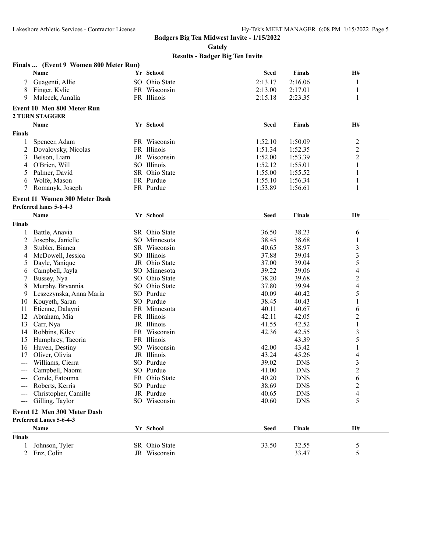**Gately**

|                      | Finals  (Event 9 Women 800 Meter Run) |               |             |               |                          |
|----------------------|---------------------------------------|---------------|-------------|---------------|--------------------------|
|                      | Name                                  | Yr School     | <b>Seed</b> | <b>Finals</b> | H#                       |
| 7                    | Guagenti, Allie                       | SO Ohio State | 2:13.17     | 2:16.06       | 1                        |
| 8                    | Finger, Kylie                         | FR Wisconsin  | 2:13.00     | 2:17.01       | 1                        |
| 9                    | Malecek, Amalia                       | FR Illinois   | 2:15.18     | 2:23.35       | 1                        |
|                      | <b>Event 10 Men 800 Meter Run</b>     |               |             |               |                          |
|                      | <b>2 TURN STAGGER</b>                 |               |             |               |                          |
|                      |                                       |               |             |               |                          |
|                      | Name                                  | Yr School     | <b>Seed</b> | Finals        | H#                       |
| <b>Finals</b>        |                                       |               |             |               |                          |
|                      | Spencer, Adam                         | FR Wisconsin  | 1:52.10     | 1:50.09       | $\overline{c}$           |
| 2                    | Dovalovsky, Nicolas                   | FR Illinois   | 1:51.34     | 1:52.35       | $\overline{c}$           |
| 3                    | Belson, Liam                          | JR Wisconsin  | 1:52.00     | 1:53.39       | $\overline{c}$           |
| 4                    | O'Brien, Will                         | SO Illinois   | 1:52.12     | 1:55.01       | $\mathbf{1}$             |
| 5                    | Palmer, David                         | SR Ohio State | 1:55.00     | 1:55.52       | 1                        |
| 6                    | Wolfe, Mason                          | FR Purdue     | 1:55.10     | 1:56.34       | 1                        |
| 7                    | Romanyk, Joseph                       | FR Purdue     | 1:53.89     | 1:56.61       | 1                        |
|                      | <b>Event 11 Women 300 Meter Dash</b>  |               |             |               |                          |
|                      | Preferred lanes 5-6-4-3               |               |             |               |                          |
|                      | Name                                  | Yr School     | <b>Seed</b> | <b>Finals</b> | H#                       |
| <b>Finals</b>        |                                       |               |             |               |                          |
|                      | Battle, Anavia                        | SR Ohio State | 36.50       | 38.23         | 6                        |
| 2                    | Josephs, Janielle                     | SO Minnesota  | 38.45       | 38.68         | 1                        |
| 3                    | Stubler, Bianca                       | SR Wisconsin  | 40.65       | 38.97         | 3                        |
| 4                    | McDowell, Jessica                     | SO Illinois   | 37.88       | 39.04         | 3                        |
| 5                    | Dayle, Yanique                        | JR Ohio State | 37.00       | 39.04         | 5                        |
| 6                    | Campbell, Jayla                       | SO Minnesota  | 39.22       | 39.06         | $\overline{\mathcal{A}}$ |
| 7                    | Bussey, Nya                           | SO Ohio State | 38.20       | 39.68         | $\overline{c}$           |
| 8                    | Murphy, Bryannia                      | SO Ohio State | 37.80       | 39.94         | $\overline{4}$           |
| 9                    | Leszczynska, Anna Maria               | SO Purdue     | 40.09       | 40.42         | 5                        |
| 10                   | Kouyeth, Saran                        | SO Purdue     | 38.45       | 40.43         | 1                        |
| 11                   | Etienne, Dalayni                      | FR Minnesota  | 40.11       | 40.67         | 6                        |
| 12                   | Abraham, Mia                          | FR Illinois   | 42.11       | 42.05         | $\overline{c}$           |
| 13                   | Carr, Nya                             | JR Illinois   | 41.55       | 42.52         | $\,1$                    |
| 14                   | Robbins, Kiley                        | FR Wisconsin  | 42.36       | 42.55         | 3                        |
| 15                   | Humphrey, Tacoria                     | FR Illinois   |             | 43.39         | 5                        |
| 16                   | Huven, Destiny                        | SO Wisconsin  | 42.00       | 43.42         | 1                        |
| 17                   | Oliver, Olivia                        | JR Illinois   | 43.24       | 45.26         | $\overline{4}$           |
|                      | Williams, Cierra                      | SO Purdue     | 39.02       | <b>DNS</b>    | 3                        |
| $\sim$ $\sim$ $\sim$ | Campbell, Naomi                       | SO Purdue     | 41.00       | <b>DNS</b>    | $\overline{2}$           |
|                      | Conde, Fatouma                        | FR Ohio State | 40.20       | <b>DNS</b>    | 6                        |
|                      | Roberts, Kerris                       | SO Purdue     | 38.69       | <b>DNS</b>    | $\overline{c}$           |
|                      | Christopher, Camille                  | JR Purdue     | 40.65       | <b>DNS</b>    | $\overline{\mathcal{A}}$ |
| $---$                | Gilling, Taylor                       | SO Wisconsin  | 40.60       | <b>DNS</b>    | 5                        |
|                      | Event 12 Men 300 Meter Dash           |               |             |               |                          |
|                      | Preferred Lanes 5-6-4-3               |               |             |               |                          |
|                      | Name                                  | Yr School     | <b>Seed</b> | <b>Finals</b> | H#                       |
| Finals               |                                       |               |             |               |                          |
| 1                    | Johnson, Tyler                        | SR Ohio State | 33.50       | 32.55         | 5                        |
| 2                    | Enz, Colin                            | JR Wisconsin  |             | 33.47         | 5                        |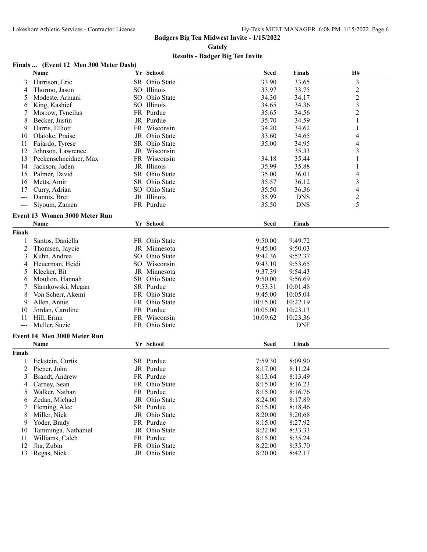**Gately**

#### **Results - Badger Big Ten Invite**

#### **Finals ... (Event 12 Men 300 Meter Dash)**

|                | Name                                 | Yr School     | <b>Seed</b> | <b>Finals</b> | H#                      |
|----------------|--------------------------------------|---------------|-------------|---------------|-------------------------|
| 3              | Harrison, Eric                       | SR Ohio State | 33.90       | 33.65         | 3                       |
| 4              | Thormo, Jason                        | SO Illinois   | 33.97       | 33.75         | $\overline{2}$          |
| 5              | Modeste, Armani                      | SO Ohio State | 34.30       | 34.17         | $\overline{c}$          |
| 6              | King, Kashief                        | SO Illinois   | 34.65       | 34.36         | $\overline{\mathbf{3}}$ |
| 7              | Morrow, Tyneilus                     | FR Purdue     | 35.65       | 34.56         | $\overline{2}$          |
| 8              | Becker, Justin                       | JR Purdue     | 35.70       | 34.59         | 1                       |
| 9              | Harris, Elliott                      | FR Wisconsin  | 34.20       | 34.62         | $\mathbf{1}$            |
| 10             | Olatoke, Praise                      | JR Ohio State | 33.60       | 34.65         | 4                       |
| 11             | Fajardo, Tyrese                      | SR Ohio State | 35.00       | 34.95         | 4                       |
| 12             | Johnson, Lawrence                    | JR Wisconsin  |             | 35.33         | 3                       |
| 13             | Peckenschneidner, Max                | FR Wisconsin  | 34.18       | 35.44         | 1                       |
| 14             | Jackson, Jaden                       | JR Illinois   | 35.99       | 35.88         | 1                       |
| 15             | Palmer, David                        | SR Ohio State | 35.00       | 36.01         | 4                       |
| 16             | Metts, Amir                          | SR Ohio State | 35.57       | 36.12         | 3                       |
| 17             | Curry, Adrian                        | SO Ohio State | 35.50       | 36.36         | 4                       |
| $---$          | Dannis, Bret                         | JR Illinois   | 35.99       | <b>DNS</b>    | $\overline{c}$          |
| ---            | Siyoum, Zamen                        | FR Purdue     | 35.50       | <b>DNS</b>    | 5                       |
|                |                                      |               |             |               |                         |
|                | <b>Event 13 Women 3000 Meter Run</b> |               |             |               |                         |
|                | Name                                 | Yr School     | <b>Seed</b> | <b>Finals</b> |                         |
| <b>Finals</b>  |                                      |               |             |               |                         |
| 1              | Santos, Daniella                     | FR Ohio State | 9:50.00     | 9:49.72       |                         |
| $\overline{2}$ | Thomsen, Jaycie                      | JR Minnesota  | 9:45.00     | 9:50.03       |                         |
| 3              | Kuhn, Andrea                         | SO Ohio State | 9:42.36     | 9:52.37       |                         |
| 4              | Heuerman, Heidi                      | SO Wisconsin  | 9:43.10     | 9:53.65       |                         |
| 5              | Klecker, Bit                         | JR Minnesota  | 9:37.39     | 9:54.43       |                         |
| 6              | Moulton, Hannah                      | SR Ohio State | 9:50.00     | 9:56.69       |                         |
| 7              | Slamkowski, Megan                    | SR Purdue     | 9:53.31     | 10:01.48      |                         |
| 8              | Von Scherr, Akemi                    | FR Ohio State | 9:45.00     | 10:05.04      |                         |
| 9              | Allen, Annie                         | FR Ohio State | 10:15.00    | 10:22.19      |                         |
| 10             | Jordan, Caroline                     | FR Purdue     | 10:05.00    | 10:23.13      |                         |
| 11             | Hill, Erinn                          | FR Wisconsin  | 10:09.62    | 10:23.36      |                         |
| $---$          | Muller, Suzie                        | FR Ohio State |             | <b>DNF</b>    |                         |
|                | <b>Event 14 Men 3000 Meter Run</b>   |               |             |               |                         |
|                | <b>Name</b>                          | Yr School     | Seed        | <b>Finals</b> |                         |
| <b>Finals</b>  |                                      |               |             |               |                         |
|                | Eckstein, Curtis                     | SR Purdue     | 7:59.30     | 8:09.90       |                         |
| 2              | Pieper, John                         | JR Purdue     | 8:17.00     | 8:11.24       |                         |
| 3              | Brandt, Andrew                       | FR Purdue     | 8:13.64     | 8:13.49       |                         |
| 4              | Carney, Sean                         | FR Ohio State | 8:15.00     | 8:16.23       |                         |
| 5              | Walker, Nathan                       | FR Purdue     | 8:15.00     | 8:16.76       |                         |
| 6              | Zedan, Michael                       | JR Ohio State | 8:24.00     | 8:17.89       |                         |
| 7              | Fleming, Alec                        | SR Purdue     | 8:15.00     | 8:18.46       |                         |
| 8              | Miller, Nick                         | JR Ohio State | 8:20.00     | 8:20.68       |                         |
| 9              | Yoder, Brady                         | FR Purdue     | 8:15.00     | 8:27.92       |                         |
| 10             | Tamminga, Nathaniel                  | JR Ohio State | 8:22.00     | 8:33.33       |                         |
| 11             | Williams, Caleb                      | FR Purdue     | 8:15.00     | 8:35.24       |                         |
| 12             | Jha, Zubin                           | FR Ohio State | 8:22.00     | 8:35.70       |                         |
| 13             | Regas, Nick                          | JR Ohio State | 8:20.00     | 8:42.17       |                         |
|                |                                      |               |             |               |                         |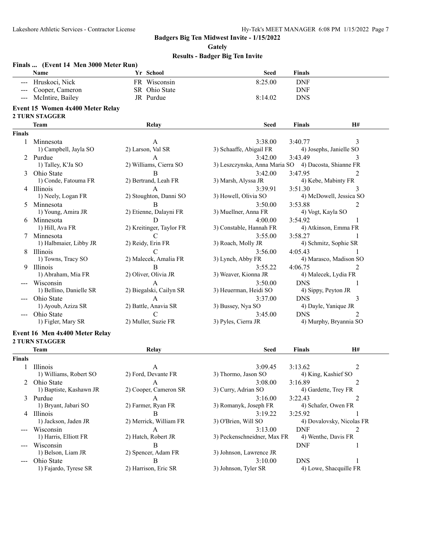**Gately**

|                        | Finals  (Event 14 Men 3000 Meter Run)                     |                          |                                                      |                      |                           |
|------------------------|-----------------------------------------------------------|--------------------------|------------------------------------------------------|----------------------|---------------------------|
|                        | Name                                                      | Yr School                | <b>Seed</b>                                          | <b>Finals</b>        |                           |
|                        | Hruskoci, Nick                                            | FR Wisconsin             | 8:25.00                                              | <b>DNF</b>           |                           |
|                        | Cooper, Cameron                                           | SR Ohio State            |                                                      | <b>DNF</b>           |                           |
| $\qquad \qquad - -$    | McIntire, Bailey                                          | JR Purdue                | 8:14.02                                              | <b>DNS</b>           |                           |
|                        | Event 15 Women 4x400 Meter Relay<br><b>2 TURN STAGGER</b> |                          |                                                      |                      |                           |
|                        | Team                                                      | Relay                    | <b>Seed</b>                                          | Finals               | H#                        |
| <b>Finals</b>          |                                                           |                          |                                                      |                      |                           |
| 1                      | Minnesota                                                 | A                        | 3:38.00                                              | 3:40.77              | 3                         |
|                        | 1) Campbell, Jayla SO                                     | 2) Larson, Val SR        | 3) Schaaffe, Abigail FR                              |                      | 4) Josephs, Janielle SO   |
|                        | 2 Purdue                                                  | A                        | 3:42.00                                              | 3:43.49              | 3                         |
|                        | 1) Talley, K'Ja SO                                        | 2) Williams, Cierra SO   | 3) Leszczynska, Anna Maria SO 4) Dacosta, Shianne FR |                      |                           |
| 3                      | Ohio State                                                | B                        | 3:42.00                                              | 3:47.95              | 2                         |
|                        | 1) Conde, Fatouma FR                                      | 2) Bertrand, Leah FR     | 3) Marsh, Alyssa JR                                  |                      | 4) Kebe, Mabinty FR       |
|                        | 4 Illinois                                                | A                        | 3:39.91                                              | 3:51.30              | 3                         |
|                        | 1) Neely, Logan FR                                        | 2) Stoughton, Danni SO   | 3) Howell, Olivia SO                                 |                      | 4) McDowell, Jessica SO   |
|                        |                                                           |                          |                                                      |                      |                           |
|                        | 5 Minnesota                                               | B                        | 3:50.00                                              | 3:53.88              | 2                         |
|                        | 1) Young, Amira JR                                        | 2) Etienne, Dalayni FR   | 3) Muellner, Anna FR                                 | 4) Vogt, Kayla SO    |                           |
|                        | 6 Minnesota                                               | D                        | 4:00.00                                              | 3:54.92              | 1                         |
|                        | 1) Hill, Ava FR                                           | 2) Kreitinger, Taylor FR | 3) Constable, Hannah FR                              |                      | 4) Atkinson, Emma FR      |
|                        | 7 Minnesota                                               | $\mathcal{C}$            | 3:55.00                                              | 3:58.27              | 1                         |
|                        | 1) Halbmaier, Libby JR                                    | 2) Reidy, Erin FR        | 3) Roach, Molly JR                                   |                      | 4) Schmitz, Sophie SR     |
|                        | 8 Illinois                                                | $\mathcal{C}$            | 3:56.00                                              | 4:05.43              | 1                         |
|                        | 1) Towns, Tracy SO                                        | 2) Malecek, Amalia FR    | 3) Lynch, Abby FR                                    |                      | 4) Marasco, Madison SO    |
| 9.                     | Illinois                                                  | B                        | 3:55.22                                              | 4:06.75              | 2                         |
|                        | 1) Abraham, Mia FR                                        | 2) Oliver, Olivia JR     | 3) Weaver, Kionna JR                                 |                      | 4) Malecek, Lydia FR      |
|                        | Wisconsin                                                 | A                        | 3:50.00                                              | <b>DNS</b>           | 1                         |
|                        | 1) Bellino, Danielle SR                                   | 2) Biegalski, Cailyn SR  | 3) Heuerman, Heidi SO                                | 4) Sippy, Peyton JR  |                           |
|                        | Ohio State                                                | A                        | 3:37.00                                              | <b>DNS</b>           | 3                         |
|                        | 1) Ayoub, Aziza SR                                        | 2) Battle, Anavia SR     | 3) Bussey, Nya SO                                    | 4) Dayle, Yanique JR |                           |
|                        | Ohio State                                                | C                        | 3:45.00                                              | <b>DNS</b>           | $\mathfrak{D}$            |
|                        | 1) Figler, Mary SR                                        | 2) Muller, Suzie FR      | 3) Pyles, Cierra JR                                  |                      | 4) Murphy, Bryannia SO    |
|                        |                                                           |                          |                                                      |                      |                           |
|                        | Event 16 Men 4x400 Meter Relay                            |                          |                                                      |                      |                           |
|                        | <b>2 TURN STAGGER</b>                                     |                          |                                                      |                      |                           |
|                        | Team                                                      | Relay                    | <b>Seed</b>                                          | Finals               | <b>H#</b>                 |
| <b>Finals</b>          |                                                           |                          |                                                      |                      |                           |
| 1                      | Illinois                                                  | A                        | 3:09.45                                              | 3:13.62              | 2                         |
|                        | 1) Williams, Robert SO                                    | 2) Ford, Devante FR      | 3) Thormo, Jason SO                                  | 4) King, Kashief SO  |                           |
|                        | Ohio State                                                | A                        | 3:08.00                                              | 3:16.89              | 2                         |
|                        | 1) Baptiste, Kashawn JR                                   | 2) Cooper, Cameron SR    | 3) Curry, Adrian SO                                  | 4) Gardette, Trey FR |                           |
|                        | 3 Purdue                                                  | А                        | 3:16.00                                              | 3:22.43              | 2                         |
|                        | 1) Bryant, Jabari SO                                      | 2) Farmer, Ryan FR       | 3) Romanyk, Joseph FR                                | 4) Schafer, Owen FR  |                           |
|                        |                                                           |                          |                                                      |                      |                           |
|                        | 4 Illinois                                                | B                        | 3:19.22                                              | 3:25.92              |                           |
|                        | 1) Jackson, Jaden JR                                      | 2) Merrick, William FR   | 3) O'Brien, Will SO                                  |                      | 4) Dovalovsky, Nicolas FR |
| $\qquad \qquad \cdots$ | Wisconsin                                                 | А                        | 3:13.00                                              | <b>DNF</b>           | 2                         |
|                        | 1) Harris, Elliott FR                                     | 2) Hatch, Robert JR      | 3) Peckenschneidner, Max FR                          | 4) Wenthe, Davis FR  |                           |
|                        | Wisconsin                                                 | B                        |                                                      | <b>DNF</b>           | 1                         |
|                        | 1) Belson, Liam JR                                        | 2) Spencer, Adam FR      | 3) Johnson, Lawrence JR                              |                      |                           |
|                        | Ohio State                                                | B                        | 3:10.00                                              | <b>DNS</b>           | 1                         |
|                        | 1) Fajardo, Tyrese SR                                     | 2) Harrison, Eric SR     | 3) Johnson, Tyler SR                                 |                      | 4) Lowe, Shacquille FR    |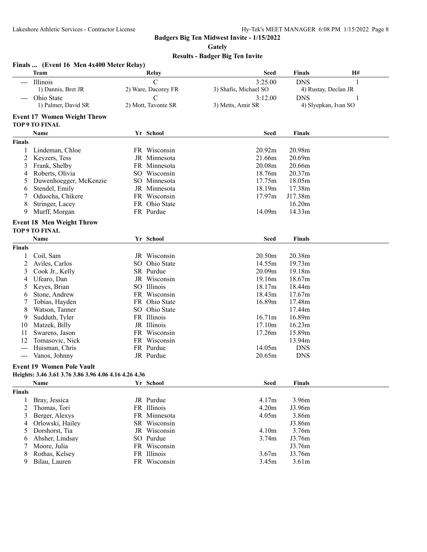**Gately**

|               | Finals  (Event 16 Men 4x400 Meter Relay)                    |                     |                       |               |                      |
|---------------|-------------------------------------------------------------|---------------------|-----------------------|---------------|----------------------|
|               | <b>Team</b>                                                 | Relay               | <b>Seed</b>           | <b>Finals</b> | H#                   |
| $---$         | Illinois                                                    | $\mathcal{C}$       | 3:25.00               | <b>DNS</b>    | 1                    |
|               | 1) Dannis, Bret JR                                          | 2) Ware, Dacorey FR | 3) Shafis, Michael SO |               | 4) Rustay, Declan JR |
|               | Ohio State                                                  | C                   | 3:12.00               | <b>DNS</b>    |                      |
|               | 1) Palmer, David SR                                         | 2) Mott, Tavonte SR | 3) Metts, Amir SR     |               | 4) Slyepkan, Ivan SO |
|               | <b>Event 17 Women Weight Throw</b><br><b>TOP 9 TO FINAL</b> |                     |                       |               |                      |
|               | Name                                                        | Yr School           | <b>Seed</b>           | Finals        |                      |
|               |                                                             |                     |                       |               |                      |
| <b>Finals</b> |                                                             |                     |                       |               |                      |
| 1             | Lindeman, Chloe                                             | FR Wisconsin        | 20.92m                | 20.98m        |                      |
| 2             | Keyzers, Tess                                               | JR Minnesota        | 21.66m                | 20.69m        |                      |
| 3             | Frank, Shelby                                               | FR Minnesota        | 20.08m                | 20.66m        |                      |
| 4             | Roberts, Olivia                                             | SO Wisconsin        | 18.76m                | 20.37m        |                      |
| 5             | Duwenhoegger, McKenzie                                      | SO Minnesota        | 17.75m                | 18.05m        |                      |
| 6             | Stendel, Emily                                              | JR Minnesota        | 18.19m                | 17.38m        |                      |
| 7             | Oduocha, Chikere                                            | FR Wisconsin        | 17.97m                | J17.38m       |                      |
| 8             | Stringer, Lacey                                             | FR Ohio State       |                       | 16.20m        |                      |
| 9             | Murff, Morgan                                               | FR Purdue           | 14.09m                | 14.33m        |                      |
|               | <b>Event 18 Men Weight Throw</b>                            |                     |                       |               |                      |
|               | <b>TOP 9 TO FINAL</b>                                       |                     |                       |               |                      |
|               | Name                                                        | Yr School           | <b>Seed</b>           | <b>Finals</b> |                      |
| <b>Finals</b> |                                                             |                     |                       |               |                      |
| 1             | Coil, Sam                                                   | JR Wisconsin        | 20.50m                | 20.38m        |                      |
| 2             | Aviles, Carlos                                              | SO Ohio State       | 14.55m                | 19.73m        |                      |
| 3             | Cook Jr., Kelly                                             | SR Purdue           | 20.09m                | 19.18m        |                      |
| 4             | Ufearo, Dan                                                 | JR Wisconsin        | 19.16m                | 18.67m        |                      |
| 5             | Keyes, Brian                                                | SO Illinois         | 18.17m                | 18.44m        |                      |
| 6             | Stone, Andrew                                               | FR Wisconsin        | 18.43m                | 17.67m        |                      |
| 7             | Tobias, Hayden                                              | FR Ohio State       | 16.89m                | 17.48m        |                      |
| 8             | Watson, Tanner                                              | SO Ohio State       |                       | 17.44m        |                      |
| 9             | Sudduth, Tyler                                              | FR Illinois         | 16.71m                | 16.89m        |                      |
| 10            | Matzek, Billy                                               | JR Illinois         | 17.10m                | 16.23m        |                      |
| 11            | Swarens, Jason                                              | FR Wisconsin        | 17.26m                | 15.89m        |                      |
| 12            | Tomasovic, Nick                                             | FR Wisconsin        |                       | 13.94m        |                      |
| $\frac{1}{2}$ | Huisman, Chris                                              | FR Purdue           | 14.05m                | <b>DNS</b>    |                      |
| $--$          | Vanos, Johnny                                               | JR Purdue           | 20.65m                | <b>DNS</b>    |                      |
|               | <b>Event 19 Women Pole Vault</b>                            |                     |                       |               |                      |
|               | Heights: 3.46 3.61 3.76 3.86 3.96 4.06 4.16 4.26 4.36       |                     |                       |               |                      |
|               | Name                                                        | Yr School           | <b>Seed</b>           | <b>Finals</b> |                      |
| <b>Finals</b> |                                                             |                     |                       |               |                      |
| 1             | Bray, Jessica                                               | JR Purdue           | 4.17m                 | 3.96m         |                      |
| 2             | Thomas, Tori                                                | FR Illinois         | 4.20m                 | J3.96m        |                      |
| 3             | Berger, Alexys                                              | FR Minnesota        | 4.05m                 | 3.86m         |                      |
| 4             | Orlowski, Hailey                                            | SR Wisconsin        |                       | J3.86m        |                      |
| 5             | Dorshorst, Tia                                              | JR Wisconsin        | 4.10m                 | 3.76m         |                      |
| 6             | Absher, Lindsay                                             | SO Purdue           | 3.74m                 | J3.76m        |                      |
| 7             | Moore, Julia                                                | FR Wisconsin        |                       | J3.76m        |                      |
| 8             | Rothas, Kelsey                                              | FR Illinois         | 3.67m                 | J3.76m        |                      |
| 9             | Bilau, Lauren                                               | FR Wisconsin        | 3.45m                 | 3.61m         |                      |
|               |                                                             |                     |                       |               |                      |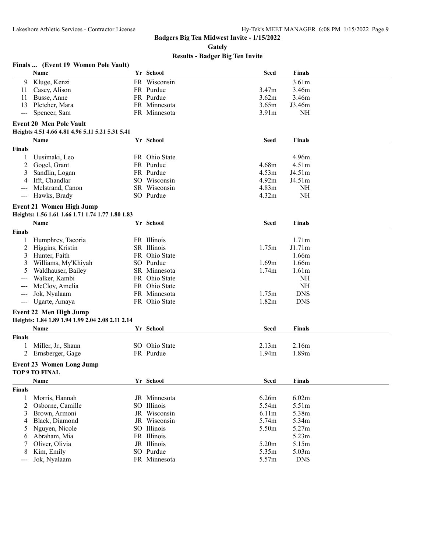**Gately**

|               | Finals  (Event 19 Women Pole Vault)              |               |                   |                   |  |
|---------------|--------------------------------------------------|---------------|-------------------|-------------------|--|
|               | Name                                             | Yr School     | <b>Seed</b>       | <b>Finals</b>     |  |
| 9             | Kluge, Kenzi                                     | FR Wisconsin  |                   | 3.61m             |  |
| 11            | Casey, Alison                                    | FR Purdue     | 3.47 <sub>m</sub> | 3.46m             |  |
| 11            | Busse, Anne                                      | FR Purdue     | 3.62m             | 3.46m             |  |
| 13            | Pletcher, Mara                                   | FR Minnesota  | 3.65m             | J3.46m            |  |
| $--$          | Spencer, Sam                                     | FR Minnesota  | 3.91 <sub>m</sub> | NH                |  |
|               | <b>Event 20 Men Pole Vault</b>                   |               |                   |                   |  |
|               | Heights 4.51 4.66 4.81 4.96 5.11 5.21 5.31 5.41  |               |                   |                   |  |
|               |                                                  |               | <b>Seed</b>       |                   |  |
|               | Name                                             | Yr School     |                   | <b>Finals</b>     |  |
| <b>Finals</b> |                                                  |               |                   |                   |  |
| 1             | Uusimaki, Leo                                    | FR Ohio State |                   | 4.96m             |  |
| 2             | Gogel, Grant                                     | FR Purdue     | 4.68m             | 4.51 <sub>m</sub> |  |
| 3             | Sandlin, Logan                                   | FR Purdue     | 4.53 <sub>m</sub> | J4.51m            |  |
| 4             | Ifft, Chandlar                                   | SO Wisconsin  | 4.92m             | J4.51m            |  |
| $---$         | Melstrand, Canon                                 | SR Wisconsin  | 4.83 <sub>m</sub> | <b>NH</b>         |  |
| ---           | Hawks, Brady                                     | SO Purdue     | 4.32m             | <b>NH</b>         |  |
|               | <b>Event 21 Women High Jump</b>                  |               |                   |                   |  |
|               | Heights: 1.56 1.61 1.66 1.71 1.74 1.77 1.80 1.83 |               |                   |                   |  |
|               | Name                                             | Yr School     | Seed              | <b>Finals</b>     |  |
| <b>Finals</b> |                                                  |               |                   |                   |  |
| 1             | Humphrey, Tacoria                                | FR Illinois   |                   | 1.71m             |  |
| 2             | Higgins, Kristin                                 | SR Illinois   | 1.75m             | J1.71m            |  |
| 3             | Hunter, Faith                                    | FR Ohio State |                   | 1.66m             |  |
| 3             | Williams, My'Khiyah                              | SO Purdue     | 1.69m             | 1.66m             |  |
| 5             | Waldhauser, Bailey                               | SR Minnesota  | 1.74m             | 1.61 <sub>m</sub> |  |
|               | Walker, Kambi                                    | FR Ohio State |                   | <b>NH</b>         |  |
| $---$         | McCloy, Amelia                                   | FR Ohio State |                   | <b>NH</b>         |  |
| ---           | Jok, Nyalaam                                     | FR Minnesota  | 1.75m             | <b>DNS</b>        |  |
| ---           | Ugarte, Amaya                                    | FR Ohio State | 1.82m             | <b>DNS</b>        |  |
|               |                                                  |               |                   |                   |  |
|               | Event 22 Men High Jump                           |               |                   |                   |  |
|               | Heights: 1.84 1.89 1.94 1.99 2.04 2.08 2.11 2.14 |               |                   |                   |  |
|               | Name                                             | Yr School     | <b>Seed</b>       | <b>Finals</b>     |  |
| <b>Finals</b> |                                                  |               |                   |                   |  |
|               | Miller, Jr., Shaun                               | SO Ohio State | 2.13 <sub>m</sub> | 2.16m             |  |
| 2             | Ernsberger, Gage                                 | FR Purdue     | 1.94 <sub>m</sub> | 1.89 <sub>m</sub> |  |
|               | <b>Event 23 Women Long Jump</b>                  |               |                   |                   |  |
|               | TOP 9 TO FINAL                                   |               |                   |                   |  |
|               | Name                                             | Yr School     | <b>Seed</b>       | <b>Finals</b>     |  |
| <b>Finals</b> |                                                  |               |                   |                   |  |
| 1             | Morris, Hannah                                   | JR Minnesota  | 6.26m             | 6.02m             |  |
| 2             | Osborne, Camille                                 | SO Illinois   | 5.54m             | 5.51m             |  |
| 3             | Brown, Armoni                                    | JR Wisconsin  | 6.11 <sub>m</sub> | 5.38m             |  |
| 4             | Black, Diamond                                   | JR Wisconsin  | 5.74m             | 5.34m             |  |
| 5             | Nguyen, Nicole                                   | SO Illinois   | 5.50m             | 5.27m             |  |
| 6             | Abraham, Mia                                     | FR Illinois   |                   | 5.23m             |  |
| 7             | Oliver, Olivia                                   | JR Illinois   | 5.20m             | 5.15m             |  |
| 8             | Kim, Emily                                       | SO Purdue     | 5.35m             | 5.03 <sub>m</sub> |  |
| ---           | Jok, Nyalaam                                     | FR Minnesota  | 5.57m             | <b>DNS</b>        |  |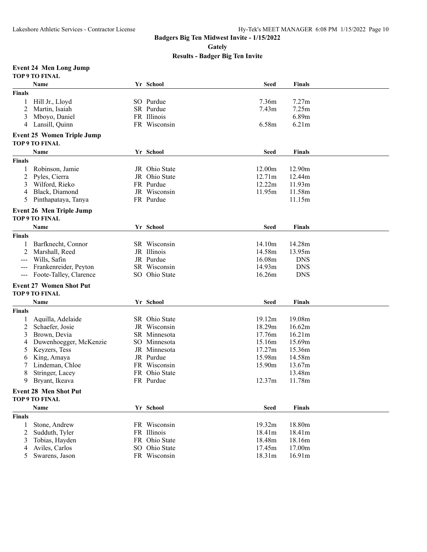**Gately**

**Results - Badger Big Ten Invite**

#### **Event 24 Men Long Jump**

| Yr School<br>Name<br><b>Seed</b><br><b>Finals</b><br>SO Purdue<br>7.36m<br>7.27m<br>Hill Jr., Lloyd<br>1<br>2<br>Martin, Isaiah<br>SR Purdue<br>7.43 <sub>m</sub><br>7.25m<br>6.89m<br>Mboyo, Daniel<br>FR Illinois<br>3<br>6.58m<br>Lansill, Quinn<br>FR Wisconsin<br>6.21m<br>4<br><b>Event 25 Women Triple Jump</b><br>TOP 9 TO FINAL<br>Yr School<br><b>Seed</b><br><b>Finals</b><br>Name<br>12.00m<br>JR Ohio State<br>12.90m<br>Robinson, Jamie<br>12.71m<br>2<br>Pyles, Cierra<br>Ohio State<br>12.44m<br>JR<br>12.22m<br>Wilford, Rieko<br>FR Purdue<br>11.93m<br>3<br>Black, Diamond<br>JR Wisconsin<br>11.95m<br>11.58m<br>4<br>Pinthapataya, Tanya<br>FR Purdue<br>11.15m<br>5<br><b>Event 26 Men Triple Jump</b><br><b>TOP 9 TO FINAL</b><br>Yr School<br><b>Seed</b><br>Name<br><b>Finals</b><br><b>Finals</b><br>14.10m<br>14.28m<br>Barfknecht, Connor<br>SR Wisconsin<br>1<br>2<br>14.58m<br>Marshall, Reed<br>JR Illinois<br>13.95m<br>16.08m<br>Wills, Safin<br>JR Purdue<br><b>DNS</b><br>$\frac{1}{2}$<br>14.93m<br>Frankenreider, Peyton<br>SR Wisconsin<br><b>DNS</b><br>$---$<br>Foote-Talley, Clarence<br>SO Ohio State<br>16.26m<br><b>DNS</b><br>$--$<br><b>Event 27 Women Shot Put</b><br><b>TOP 9 TO FINAL</b><br>Yr School<br><b>Seed</b><br>Name<br><b>Finals</b><br><b>Finals</b><br>19.12m<br>19.08m<br>SR Ohio State<br>Aquilla, Adelaide<br>1<br>18.29m<br>2<br>Schaefer, Josie<br>JR Wisconsin<br>16.62m<br>Brown, Devia<br>SR Minnesota<br>17.76m<br>16.21m<br>3<br>Duwenhoegger, McKenzie<br>SO Minnesota<br>15.16m<br>15.69m<br>4<br>Keyzers, Tess<br>JR Minnesota<br>17.27m<br>15.36m<br>5<br>15.98m<br>King, Amaya<br>JR Purdue<br>14.58m<br>6<br>15.90m<br>Lindeman, Chloe<br>FR Wisconsin<br>13.67m<br>7<br>8<br>Stringer, Lacey<br>Ohio State<br>13.48m<br>FR.<br>FR Purdue<br>12.37m<br>11.78m<br>9<br>Bryant, Ikeava<br><b>Event 28 Men Shot Put</b><br>TOP 9 TO FINAL<br>Yr School<br><b>Seed</b><br><b>Finals</b><br>Name<br>18.80m<br>FR Wisconsin<br>19.32m<br>Stone, Andrew<br>1<br>FR Illinois<br>2<br>Sudduth, Tyler<br>18.41m<br>18.41m<br>Tobias, Hayden<br>FR Ohio State<br>18.48m<br>18.16m<br>3<br>Aviles, Carlos<br>SO Ohio State<br>17.45m<br>17.00m<br>4<br>FR Wisconsin |               | <b>TOP 9 TO FINAL</b> |  |        |        |  |
|--------------------------------------------------------------------------------------------------------------------------------------------------------------------------------------------------------------------------------------------------------------------------------------------------------------------------------------------------------------------------------------------------------------------------------------------------------------------------------------------------------------------------------------------------------------------------------------------------------------------------------------------------------------------------------------------------------------------------------------------------------------------------------------------------------------------------------------------------------------------------------------------------------------------------------------------------------------------------------------------------------------------------------------------------------------------------------------------------------------------------------------------------------------------------------------------------------------------------------------------------------------------------------------------------------------------------------------------------------------------------------------------------------------------------------------------------------------------------------------------------------------------------------------------------------------------------------------------------------------------------------------------------------------------------------------------------------------------------------------------------------------------------------------------------------------------------------------------------------------------------------------------------------------------------------------------------------------------------------------------------------------------------------------------------------------------------------------------------------------------------------------------------------------------------------------------------------------------------------------|---------------|-----------------------|--|--------|--------|--|
|                                                                                                                                                                                                                                                                                                                                                                                                                                                                                                                                                                                                                                                                                                                                                                                                                                                                                                                                                                                                                                                                                                                                                                                                                                                                                                                                                                                                                                                                                                                                                                                                                                                                                                                                                                                                                                                                                                                                                                                                                                                                                                                                                                                                                                      |               |                       |  |        |        |  |
|                                                                                                                                                                                                                                                                                                                                                                                                                                                                                                                                                                                                                                                                                                                                                                                                                                                                                                                                                                                                                                                                                                                                                                                                                                                                                                                                                                                                                                                                                                                                                                                                                                                                                                                                                                                                                                                                                                                                                                                                                                                                                                                                                                                                                                      | <b>Finals</b> |                       |  |        |        |  |
|                                                                                                                                                                                                                                                                                                                                                                                                                                                                                                                                                                                                                                                                                                                                                                                                                                                                                                                                                                                                                                                                                                                                                                                                                                                                                                                                                                                                                                                                                                                                                                                                                                                                                                                                                                                                                                                                                                                                                                                                                                                                                                                                                                                                                                      |               |                       |  |        |        |  |
|                                                                                                                                                                                                                                                                                                                                                                                                                                                                                                                                                                                                                                                                                                                                                                                                                                                                                                                                                                                                                                                                                                                                                                                                                                                                                                                                                                                                                                                                                                                                                                                                                                                                                                                                                                                                                                                                                                                                                                                                                                                                                                                                                                                                                                      |               |                       |  |        |        |  |
|                                                                                                                                                                                                                                                                                                                                                                                                                                                                                                                                                                                                                                                                                                                                                                                                                                                                                                                                                                                                                                                                                                                                                                                                                                                                                                                                                                                                                                                                                                                                                                                                                                                                                                                                                                                                                                                                                                                                                                                                                                                                                                                                                                                                                                      |               |                       |  |        |        |  |
|                                                                                                                                                                                                                                                                                                                                                                                                                                                                                                                                                                                                                                                                                                                                                                                                                                                                                                                                                                                                                                                                                                                                                                                                                                                                                                                                                                                                                                                                                                                                                                                                                                                                                                                                                                                                                                                                                                                                                                                                                                                                                                                                                                                                                                      |               |                       |  |        |        |  |
|                                                                                                                                                                                                                                                                                                                                                                                                                                                                                                                                                                                                                                                                                                                                                                                                                                                                                                                                                                                                                                                                                                                                                                                                                                                                                                                                                                                                                                                                                                                                                                                                                                                                                                                                                                                                                                                                                                                                                                                                                                                                                                                                                                                                                                      |               |                       |  |        |        |  |
|                                                                                                                                                                                                                                                                                                                                                                                                                                                                                                                                                                                                                                                                                                                                                                                                                                                                                                                                                                                                                                                                                                                                                                                                                                                                                                                                                                                                                                                                                                                                                                                                                                                                                                                                                                                                                                                                                                                                                                                                                                                                                                                                                                                                                                      |               |                       |  |        |        |  |
|                                                                                                                                                                                                                                                                                                                                                                                                                                                                                                                                                                                                                                                                                                                                                                                                                                                                                                                                                                                                                                                                                                                                                                                                                                                                                                                                                                                                                                                                                                                                                                                                                                                                                                                                                                                                                                                                                                                                                                                                                                                                                                                                                                                                                                      |               |                       |  |        |        |  |
|                                                                                                                                                                                                                                                                                                                                                                                                                                                                                                                                                                                                                                                                                                                                                                                                                                                                                                                                                                                                                                                                                                                                                                                                                                                                                                                                                                                                                                                                                                                                                                                                                                                                                                                                                                                                                                                                                                                                                                                                                                                                                                                                                                                                                                      |               |                       |  |        |        |  |
|                                                                                                                                                                                                                                                                                                                                                                                                                                                                                                                                                                                                                                                                                                                                                                                                                                                                                                                                                                                                                                                                                                                                                                                                                                                                                                                                                                                                                                                                                                                                                                                                                                                                                                                                                                                                                                                                                                                                                                                                                                                                                                                                                                                                                                      | <b>Finals</b> |                       |  |        |        |  |
|                                                                                                                                                                                                                                                                                                                                                                                                                                                                                                                                                                                                                                                                                                                                                                                                                                                                                                                                                                                                                                                                                                                                                                                                                                                                                                                                                                                                                                                                                                                                                                                                                                                                                                                                                                                                                                                                                                                                                                                                                                                                                                                                                                                                                                      |               |                       |  |        |        |  |
|                                                                                                                                                                                                                                                                                                                                                                                                                                                                                                                                                                                                                                                                                                                                                                                                                                                                                                                                                                                                                                                                                                                                                                                                                                                                                                                                                                                                                                                                                                                                                                                                                                                                                                                                                                                                                                                                                                                                                                                                                                                                                                                                                                                                                                      |               |                       |  |        |        |  |
|                                                                                                                                                                                                                                                                                                                                                                                                                                                                                                                                                                                                                                                                                                                                                                                                                                                                                                                                                                                                                                                                                                                                                                                                                                                                                                                                                                                                                                                                                                                                                                                                                                                                                                                                                                                                                                                                                                                                                                                                                                                                                                                                                                                                                                      |               |                       |  |        |        |  |
|                                                                                                                                                                                                                                                                                                                                                                                                                                                                                                                                                                                                                                                                                                                                                                                                                                                                                                                                                                                                                                                                                                                                                                                                                                                                                                                                                                                                                                                                                                                                                                                                                                                                                                                                                                                                                                                                                                                                                                                                                                                                                                                                                                                                                                      |               |                       |  |        |        |  |
|                                                                                                                                                                                                                                                                                                                                                                                                                                                                                                                                                                                                                                                                                                                                                                                                                                                                                                                                                                                                                                                                                                                                                                                                                                                                                                                                                                                                                                                                                                                                                                                                                                                                                                                                                                                                                                                                                                                                                                                                                                                                                                                                                                                                                                      |               |                       |  |        |        |  |
|                                                                                                                                                                                                                                                                                                                                                                                                                                                                                                                                                                                                                                                                                                                                                                                                                                                                                                                                                                                                                                                                                                                                                                                                                                                                                                                                                                                                                                                                                                                                                                                                                                                                                                                                                                                                                                                                                                                                                                                                                                                                                                                                                                                                                                      |               |                       |  |        |        |  |
|                                                                                                                                                                                                                                                                                                                                                                                                                                                                                                                                                                                                                                                                                                                                                                                                                                                                                                                                                                                                                                                                                                                                                                                                                                                                                                                                                                                                                                                                                                                                                                                                                                                                                                                                                                                                                                                                                                                                                                                                                                                                                                                                                                                                                                      |               |                       |  |        |        |  |
|                                                                                                                                                                                                                                                                                                                                                                                                                                                                                                                                                                                                                                                                                                                                                                                                                                                                                                                                                                                                                                                                                                                                                                                                                                                                                                                                                                                                                                                                                                                                                                                                                                                                                                                                                                                                                                                                                                                                                                                                                                                                                                                                                                                                                                      |               |                       |  |        |        |  |
|                                                                                                                                                                                                                                                                                                                                                                                                                                                                                                                                                                                                                                                                                                                                                                                                                                                                                                                                                                                                                                                                                                                                                                                                                                                                                                                                                                                                                                                                                                                                                                                                                                                                                                                                                                                                                                                                                                                                                                                                                                                                                                                                                                                                                                      |               |                       |  |        |        |  |
|                                                                                                                                                                                                                                                                                                                                                                                                                                                                                                                                                                                                                                                                                                                                                                                                                                                                                                                                                                                                                                                                                                                                                                                                                                                                                                                                                                                                                                                                                                                                                                                                                                                                                                                                                                                                                                                                                                                                                                                                                                                                                                                                                                                                                                      |               |                       |  |        |        |  |
|                                                                                                                                                                                                                                                                                                                                                                                                                                                                                                                                                                                                                                                                                                                                                                                                                                                                                                                                                                                                                                                                                                                                                                                                                                                                                                                                                                                                                                                                                                                                                                                                                                                                                                                                                                                                                                                                                                                                                                                                                                                                                                                                                                                                                                      |               |                       |  |        |        |  |
|                                                                                                                                                                                                                                                                                                                                                                                                                                                                                                                                                                                                                                                                                                                                                                                                                                                                                                                                                                                                                                                                                                                                                                                                                                                                                                                                                                                                                                                                                                                                                                                                                                                                                                                                                                                                                                                                                                                                                                                                                                                                                                                                                                                                                                      |               |                       |  |        |        |  |
|                                                                                                                                                                                                                                                                                                                                                                                                                                                                                                                                                                                                                                                                                                                                                                                                                                                                                                                                                                                                                                                                                                                                                                                                                                                                                                                                                                                                                                                                                                                                                                                                                                                                                                                                                                                                                                                                                                                                                                                                                                                                                                                                                                                                                                      |               |                       |  |        |        |  |
|                                                                                                                                                                                                                                                                                                                                                                                                                                                                                                                                                                                                                                                                                                                                                                                                                                                                                                                                                                                                                                                                                                                                                                                                                                                                                                                                                                                                                                                                                                                                                                                                                                                                                                                                                                                                                                                                                                                                                                                                                                                                                                                                                                                                                                      |               |                       |  |        |        |  |
|                                                                                                                                                                                                                                                                                                                                                                                                                                                                                                                                                                                                                                                                                                                                                                                                                                                                                                                                                                                                                                                                                                                                                                                                                                                                                                                                                                                                                                                                                                                                                                                                                                                                                                                                                                                                                                                                                                                                                                                                                                                                                                                                                                                                                                      |               |                       |  |        |        |  |
|                                                                                                                                                                                                                                                                                                                                                                                                                                                                                                                                                                                                                                                                                                                                                                                                                                                                                                                                                                                                                                                                                                                                                                                                                                                                                                                                                                                                                                                                                                                                                                                                                                                                                                                                                                                                                                                                                                                                                                                                                                                                                                                                                                                                                                      |               |                       |  |        |        |  |
|                                                                                                                                                                                                                                                                                                                                                                                                                                                                                                                                                                                                                                                                                                                                                                                                                                                                                                                                                                                                                                                                                                                                                                                                                                                                                                                                                                                                                                                                                                                                                                                                                                                                                                                                                                                                                                                                                                                                                                                                                                                                                                                                                                                                                                      |               |                       |  |        |        |  |
|                                                                                                                                                                                                                                                                                                                                                                                                                                                                                                                                                                                                                                                                                                                                                                                                                                                                                                                                                                                                                                                                                                                                                                                                                                                                                                                                                                                                                                                                                                                                                                                                                                                                                                                                                                                                                                                                                                                                                                                                                                                                                                                                                                                                                                      |               |                       |  |        |        |  |
|                                                                                                                                                                                                                                                                                                                                                                                                                                                                                                                                                                                                                                                                                                                                                                                                                                                                                                                                                                                                                                                                                                                                                                                                                                                                                                                                                                                                                                                                                                                                                                                                                                                                                                                                                                                                                                                                                                                                                                                                                                                                                                                                                                                                                                      |               |                       |  |        |        |  |
|                                                                                                                                                                                                                                                                                                                                                                                                                                                                                                                                                                                                                                                                                                                                                                                                                                                                                                                                                                                                                                                                                                                                                                                                                                                                                                                                                                                                                                                                                                                                                                                                                                                                                                                                                                                                                                                                                                                                                                                                                                                                                                                                                                                                                                      |               |                       |  |        |        |  |
|                                                                                                                                                                                                                                                                                                                                                                                                                                                                                                                                                                                                                                                                                                                                                                                                                                                                                                                                                                                                                                                                                                                                                                                                                                                                                                                                                                                                                                                                                                                                                                                                                                                                                                                                                                                                                                                                                                                                                                                                                                                                                                                                                                                                                                      |               |                       |  |        |        |  |
|                                                                                                                                                                                                                                                                                                                                                                                                                                                                                                                                                                                                                                                                                                                                                                                                                                                                                                                                                                                                                                                                                                                                                                                                                                                                                                                                                                                                                                                                                                                                                                                                                                                                                                                                                                                                                                                                                                                                                                                                                                                                                                                                                                                                                                      |               |                       |  |        |        |  |
|                                                                                                                                                                                                                                                                                                                                                                                                                                                                                                                                                                                                                                                                                                                                                                                                                                                                                                                                                                                                                                                                                                                                                                                                                                                                                                                                                                                                                                                                                                                                                                                                                                                                                                                                                                                                                                                                                                                                                                                                                                                                                                                                                                                                                                      |               |                       |  |        |        |  |
|                                                                                                                                                                                                                                                                                                                                                                                                                                                                                                                                                                                                                                                                                                                                                                                                                                                                                                                                                                                                                                                                                                                                                                                                                                                                                                                                                                                                                                                                                                                                                                                                                                                                                                                                                                                                                                                                                                                                                                                                                                                                                                                                                                                                                                      |               |                       |  |        |        |  |
|                                                                                                                                                                                                                                                                                                                                                                                                                                                                                                                                                                                                                                                                                                                                                                                                                                                                                                                                                                                                                                                                                                                                                                                                                                                                                                                                                                                                                                                                                                                                                                                                                                                                                                                                                                                                                                                                                                                                                                                                                                                                                                                                                                                                                                      |               |                       |  |        |        |  |
|                                                                                                                                                                                                                                                                                                                                                                                                                                                                                                                                                                                                                                                                                                                                                                                                                                                                                                                                                                                                                                                                                                                                                                                                                                                                                                                                                                                                                                                                                                                                                                                                                                                                                                                                                                                                                                                                                                                                                                                                                                                                                                                                                                                                                                      |               |                       |  |        |        |  |
|                                                                                                                                                                                                                                                                                                                                                                                                                                                                                                                                                                                                                                                                                                                                                                                                                                                                                                                                                                                                                                                                                                                                                                                                                                                                                                                                                                                                                                                                                                                                                                                                                                                                                                                                                                                                                                                                                                                                                                                                                                                                                                                                                                                                                                      |               |                       |  |        |        |  |
|                                                                                                                                                                                                                                                                                                                                                                                                                                                                                                                                                                                                                                                                                                                                                                                                                                                                                                                                                                                                                                                                                                                                                                                                                                                                                                                                                                                                                                                                                                                                                                                                                                                                                                                                                                                                                                                                                                                                                                                                                                                                                                                                                                                                                                      |               |                       |  |        |        |  |
|                                                                                                                                                                                                                                                                                                                                                                                                                                                                                                                                                                                                                                                                                                                                                                                                                                                                                                                                                                                                                                                                                                                                                                                                                                                                                                                                                                                                                                                                                                                                                                                                                                                                                                                                                                                                                                                                                                                                                                                                                                                                                                                                                                                                                                      |               |                       |  |        |        |  |
|                                                                                                                                                                                                                                                                                                                                                                                                                                                                                                                                                                                                                                                                                                                                                                                                                                                                                                                                                                                                                                                                                                                                                                                                                                                                                                                                                                                                                                                                                                                                                                                                                                                                                                                                                                                                                                                                                                                                                                                                                                                                                                                                                                                                                                      |               |                       |  |        |        |  |
|                                                                                                                                                                                                                                                                                                                                                                                                                                                                                                                                                                                                                                                                                                                                                                                                                                                                                                                                                                                                                                                                                                                                                                                                                                                                                                                                                                                                                                                                                                                                                                                                                                                                                                                                                                                                                                                                                                                                                                                                                                                                                                                                                                                                                                      |               |                       |  |        |        |  |
|                                                                                                                                                                                                                                                                                                                                                                                                                                                                                                                                                                                                                                                                                                                                                                                                                                                                                                                                                                                                                                                                                                                                                                                                                                                                                                                                                                                                                                                                                                                                                                                                                                                                                                                                                                                                                                                                                                                                                                                                                                                                                                                                                                                                                                      |               |                       |  |        |        |  |
|                                                                                                                                                                                                                                                                                                                                                                                                                                                                                                                                                                                                                                                                                                                                                                                                                                                                                                                                                                                                                                                                                                                                                                                                                                                                                                                                                                                                                                                                                                                                                                                                                                                                                                                                                                                                                                                                                                                                                                                                                                                                                                                                                                                                                                      | <b>Finals</b> |                       |  |        |        |  |
|                                                                                                                                                                                                                                                                                                                                                                                                                                                                                                                                                                                                                                                                                                                                                                                                                                                                                                                                                                                                                                                                                                                                                                                                                                                                                                                                                                                                                                                                                                                                                                                                                                                                                                                                                                                                                                                                                                                                                                                                                                                                                                                                                                                                                                      |               |                       |  |        |        |  |
|                                                                                                                                                                                                                                                                                                                                                                                                                                                                                                                                                                                                                                                                                                                                                                                                                                                                                                                                                                                                                                                                                                                                                                                                                                                                                                                                                                                                                                                                                                                                                                                                                                                                                                                                                                                                                                                                                                                                                                                                                                                                                                                                                                                                                                      |               |                       |  |        |        |  |
|                                                                                                                                                                                                                                                                                                                                                                                                                                                                                                                                                                                                                                                                                                                                                                                                                                                                                                                                                                                                                                                                                                                                                                                                                                                                                                                                                                                                                                                                                                                                                                                                                                                                                                                                                                                                                                                                                                                                                                                                                                                                                                                                                                                                                                      |               |                       |  |        |        |  |
|                                                                                                                                                                                                                                                                                                                                                                                                                                                                                                                                                                                                                                                                                                                                                                                                                                                                                                                                                                                                                                                                                                                                                                                                                                                                                                                                                                                                                                                                                                                                                                                                                                                                                                                                                                                                                                                                                                                                                                                                                                                                                                                                                                                                                                      |               |                       |  |        |        |  |
|                                                                                                                                                                                                                                                                                                                                                                                                                                                                                                                                                                                                                                                                                                                                                                                                                                                                                                                                                                                                                                                                                                                                                                                                                                                                                                                                                                                                                                                                                                                                                                                                                                                                                                                                                                                                                                                                                                                                                                                                                                                                                                                                                                                                                                      | 5             | Swarens, Jason        |  | 18.31m | 16.91m |  |